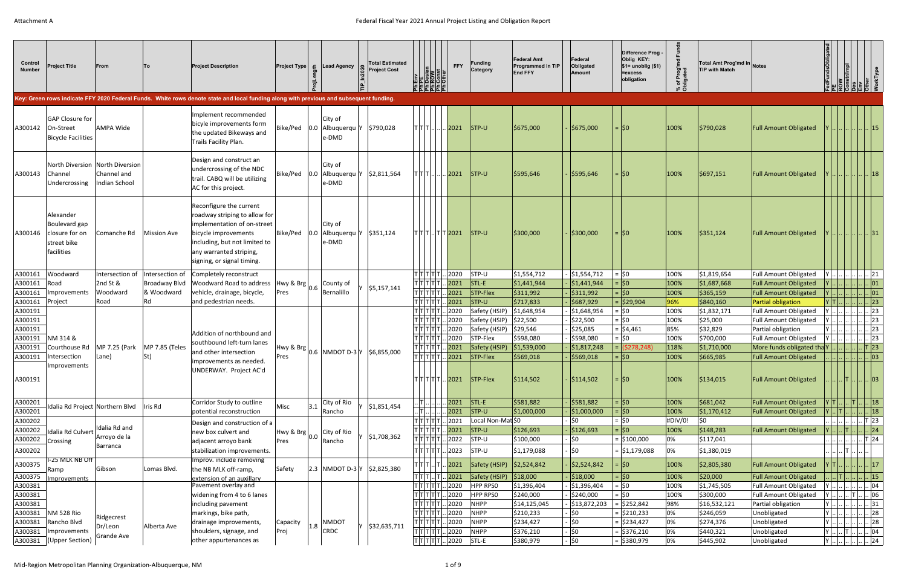| Control<br><b>Number</b> | <b>Project Title</b>                                                      | From                                                            |                      | <b>Project Description</b>                                                                                                                                                                                | <b>Project Type</b>    |     | 도 Lead Agency                                              | <b>Total Estimated</b><br><b>Project Cost</b> | EN BROW CONT                                                                                                                                                                                                                                                                                                                                                                                          | <b>FFY</b>                              | Funding<br>Category                    | <b>Federal Amt</b><br><b>Programmed in TIP</b><br><b>End FFY</b> | Federal<br>Obligated<br>Amount        | Difference Prog<br>Oblig KEY:<br>$$1=$ unoblig $($1)$<br>=excess<br>obligation | of Prog'n<br>Nicated | Total Amt Prog'md in Notes<br><b>TIP with Match</b> |                                                              | undsObligated-                                                                                 | r/Impl   |                                            |
|--------------------------|---------------------------------------------------------------------------|-----------------------------------------------------------------|----------------------|-----------------------------------------------------------------------------------------------------------------------------------------------------------------------------------------------------------|------------------------|-----|------------------------------------------------------------|-----------------------------------------------|-------------------------------------------------------------------------------------------------------------------------------------------------------------------------------------------------------------------------------------------------------------------------------------------------------------------------------------------------------------------------------------------------------|-----------------------------------------|----------------------------------------|------------------------------------------------------------------|---------------------------------------|--------------------------------------------------------------------------------|----------------------|-----------------------------------------------------|--------------------------------------------------------------|------------------------------------------------------------------------------------------------|----------|--------------------------------------------|
|                          |                                                                           |                                                                 |                      | Key: Green rows indicate FFY 2020 Federal Funds. White rows denote state and local funding along with previous and subsequent funding.                                                                    |                        |     |                                                            |                                               |                                                                                                                                                                                                                                                                                                                                                                                                       |                                         |                                        |                                                                  |                                       |                                                                                |                      |                                                     |                                                              |                                                                                                |          |                                            |
| A300142                  | <b>GAP Closure for</b><br>On-Street<br><b>Bicycle Facilities</b>          | <b>AMPA Wide</b>                                                |                      | Implement recommended<br>bicyle improvements form<br>the updated Bikeways and<br>Trails Facility Plan.                                                                                                    |                        |     | City of<br>Bike/Ped   0.0   Albuquerqu Y<br>e-DMD          | \$790,028                                     | $\tau$   $\tau$   $\tau$   $\ldots$   $\ldots$   $\ldots$                                                                                                                                                                                                                                                                                                                                             | .2021                                   | $ISTP-U$                               | \$675,000                                                        | \$675,000                             | $=$ $ 50$                                                                      | 100%                 | \$790,028                                           | <b>Full Amount Obligated</b>                                 |                                                                                                |          |                                            |
| A300143                  | Channel<br>Undercrossing                                                  | North Diversion North Diversion<br>Channel and<br>Indian School |                      | Design and construct an<br>undercrossing of the NDC<br>trail. CABQ will be utilizing<br>AC for this project.                                                                                              |                        |     | City of<br>Bike/Ped   0.0   Albuquerqu   Y<br>$ e-DMD $    | \$2,811,564                                   | T T T                                                                                                                                                                                                                                                                                                                                                                                                 | 2021                                    | $ISTP-U$                               | \$595,646                                                        | \$595,646                             | $=$ $ 50$                                                                      | 100%                 | \$697,151                                           | <b>Full Amount Obligated</b>                                 |                                                                                                |          | .  18                                      |
| A300146                  | Alexander<br>Boulevard gap<br>closure for on<br>street bike<br>facilities | Comanche Rd                                                     | <b>Mission Ave</b>   | Reconfigure the current<br>roadway striping to allow for<br>implementation of on-street<br>bicycle improvements<br>including, but not limited to<br>any warranted striping,<br>signing, or signal timing. | Bike/Ped               |     | City of<br>$ 0.0 $ Albuquerqu   Y   \$351,124<br>$ e-DMD $ |                                               |                                                                                                                                                                                                                                                                                                                                                                                                       | $ T T T $ $ T T 2021$                   | $ISTP-U$                               | \$300,000                                                        | \$300,000                             | =  \$0                                                                         | 100%                 | \$351,124                                           | <b>Full Amount Obligated</b>                                 |                                                                                                |          | .    31                                    |
| A300161                  | Woodward                                                                  | Intersection of                                                 | Intersection of      | Completely reconstruct                                                                                                                                                                                    |                        |     |                                                            |                                               | $ \tau \tau \tau \tau \tau $ .                                                                                                                                                                                                                                                                                                                                                                        | 2020 STP-U                              |                                        | \$1,554,712                                                      | \$1,554,712                           | $=$ \$0                                                                        | 100%                 | \$1,819,654                                         | Full Amount Obligated                                        | $Y$                                                                                            |          | . . 21                                     |
| A300161                  | Road                                                                      | 2nd St &                                                        | <b>Broadway Blvd</b> | Woodward Road to address                                                                                                                                                                                  | $ Hwy & Brg _{0.6}$  ' |     | County of                                                  | \$5,157,141                                   | T T T T                                                                                                                                                                                                                                                                                                                                                                                               | 2021 STL-E                              |                                        | \$1,441,944                                                      | $\frac{1}{2}$ \$1,441,944             | $=$ \$0                                                                        | 100%                 | \$1,687,668                                         | <b>Full Amount Obligated</b>                                 |                                                                                                |          | .    01                                    |
| A300161                  | Improvements                                                              | Woodward                                                        | & Woodward           | vehicle, drainage, bicycle,                                                                                                                                                                               | Pres                   |     | Bernalillo                                                 |                                               | T T T                                                                                                                                                                                                                                                                                                                                                                                                 | $\sqrt{2021}$                           | $STP-Flex$                             | \$311,992                                                        | \$311,992                             | 6\$  =                                                                         | 100%                 | \$365,159                                           | <b>Full Amount Obligated</b>                                 | $\vert$ Y $\vert$                                                                              |          | 01                                         |
| A300161                  | Project                                                                   | Road                                                            | Rd                   | and pedestrian needs.                                                                                                                                                                                     |                        |     |                                                            |                                               | $T$ $T$ $T$ $T$                                                                                                                                                                                                                                                                                                                                                                                       | $2021$ STP-U                            |                                        | \$717,833                                                        | \$687,929                             | $=$ \$29,904                                                                   | 96%                  | \$840,160                                           | Partial obligation                                           | $Y$ T.                                                                                         |          | 23                                         |
| A300191                  |                                                                           |                                                                 |                      |                                                                                                                                                                                                           |                        |     |                                                            |                                               | T T T T                                                                                                                                                                                                                                                                                                                                                                                               | 2020                                    | Safety (HSIP)                          | \$1,648,954                                                      | $\frac{1}{2}$ \$1,648,954             | =  \$0                                                                         | 100%                 | \$1,832,171                                         | Full Amount Obligated                                        | Y                                                                                              |          | 23                                         |
| A300191                  |                                                                           |                                                                 |                      |                                                                                                                                                                                                           |                        |     |                                                            |                                               | TITIT                                                                                                                                                                                                                                                                                                                                                                                                 | 2020                                    | Safety (HSIP)                          | \$22,500                                                         | $\frac{1}{2}$ \$22,500                | $=$ \$0                                                                        | 100%                 | \$25,000                                            | Full Amount Obligated                                        | Y                                                                                              |          | .  23                                      |
| A300191                  |                                                                           |                                                                 |                      | Addition of northbound and                                                                                                                                                                                |                        |     |                                                            |                                               |                                                                                                                                                                                                                                                                                                                                                                                                       | 2020                                    | Safety (HSIP)                          | \$29,546                                                         | \$25,085                              | = \$4,461                                                                      | 85%                  | \$32,829                                            | Partial obligation                                           | $ Y $ $  $                                                                                     |          | .  23                                      |
| A300191                  | NM 314 &                                                                  |                                                                 |                      | southbound left-turn lanes                                                                                                                                                                                |                        |     |                                                            |                                               | T[T T T                                                                                                                                                                                                                                                                                                                                                                                               | 2020                                    | STP-Flex                               | \$598,080                                                        | \$598,080                             | $=$ \$0                                                                        | 100%                 | \$700,000                                           | <b>Full Amount Obligated</b>                                 | $ Y $ $      $ 23                                                                              |          |                                            |
| A300191                  | Courthouse Rd   MP 7.25 (Park                                             |                                                                 | MP 7.85 (Teles       | and other intersection                                                                                                                                                                                    |                        |     | $ Hwy & Brg _{0.6}$ NMDOT D-3 Y \$6,855,000                |                                               | T T T T T                                                                                                                                                                                                                                                                                                                                                                                             | 2021                                    | Safety (HSIP)                          | \$1,539,000                                                      | \$1,817,248                           | $=  (5278, 248)$                                                               | 118%                 | \$1,710,000                                         |                                                              |                                                                                                |          |                                            |
| A300191<br>A300191       | Intersection<br>Improvements                                              | Lane)                                                           | St)                  | improvements as needed.<br>UNDERWAY. Project AC'd                                                                                                                                                         | Pres                   |     |                                                            |                                               | $\tau$ $\overline{ \tau }$ $\tau$ $ \tau $                                                                                                                                                                                                                                                                                                                                                            | 2021                                    | STP-Flex<br>$T T T T $ . 2021 STP-Flex | \$569,018<br> \$114,502                                          | \$569,018<br> \$114,502               | =  \$0<br>  =  \$0                                                             | 100%<br>100%         | \$665,985<br> \$134,015                             | <b>Full Amount Obligated</b><br><b>Full Amount Obligated</b> |                                                                                                | .ITII.   | $\ldots$ $\ldots$ 03<br>$\vert . \vert 03$ |
| A300201                  | Idalia Rd Project Northern Blvd                                           |                                                                 | llris Rd             | Corridor Study to outline                                                                                                                                                                                 | Misc                   | 3.1 | City of Rio                                                | \$1,851,454                                   | $\begin{picture}(20,20) \put(0,0){\dashbox{0.5}(5,0){ }} \put(15,0){\circle{1}} \put(15,0){\circle{1}} \put(15,0){\circle{1}} \put(15,0){\circle{1}} \put(15,0){\circle{1}} \put(15,0){\circle{1}} \put(15,0){\circle{1}} \put(15,0){\circle{1}} \put(15,0){\circle{1}} \put(15,0){\circle{1}} \put(15,0){\circle{1}} \put(15,0){\circle{1}} \put(15,0){\circle{1}} \put(15,0){\circle{1}} \put(15,0$ | $2021$ STL-E                            |                                        | \$581,882                                                        | \$581,882                             | $=$ \$0                                                                        | 100%                 | \$681,042                                           | <b>Full Amount Obligated</b>                                 | $\vert$ Y $\vert$ T $\vert$ $\vert$ $\vert$ T $\vert$ $\vert$ 18 $\vert$                       |          |                                            |
| A300201                  |                                                                           |                                                                 |                      | potential reconstruction                                                                                                                                                                                  |                        |     | Rancho                                                     |                                               |                                                                                                                                                                                                                                                                                                                                                                                                       | $2021$ STP-U                            |                                        | \$1,000,000                                                      | \$1,000,000                           | $=$ \$0                                                                        | 100%                 | \$1,170,412                                         | <b>Full Amount Obligated</b>                                 | $Y$ $T$                                                                                        |          | $.   $   18                                |
| A300202                  |                                                                           | Idalia Rd and                                                   |                      | Design and construction of a                                                                                                                                                                              |                        |     |                                                            |                                               | T T T T T                                                                                                                                                                                                                                                                                                                                                                                             | . 2021                                  | Local Non-Mat \$0                      |                                                                  | \$0                                   | $=$ \$0                                                                        | #DIV/0!              | \$0                                                 |                                                              | $\left\  \ldots \right\  \ldots \left\  \ldots \right\  \ldots \left\  \mathsf{T} \right\  23$ |          |                                            |
| A300202                  | $\Box$ Idalia Rd Culvert $\vert$ ' Arroyo de la                           |                                                                 |                      | new box culvert and                                                                                                                                                                                       | $ Hwy & Brg _{0.0}$  ' |     | City of Rio                                                | \$1,708,362                                   | T T T T                                                                                                                                                                                                                                                                                                                                                                                               | $2021$ STP-U                            |                                        | \$126,693                                                        | \$126,693                             | $=$ $ 50$                                                                      | 100%                 | \$148,283                                           | <b>Full Amount Obligated</b>                                 | $ Y $ $ \cdot $ . $ \cdot $ $ $ $ 24 $                                                         |          |                                            |
| A300202                  | Crossing                                                                  | Barranca                                                        |                      | adjacent arroyo bank                                                                                                                                                                                      | Pres                   |     | Rancho                                                     |                                               | $T[T T T T $                                                                                                                                                                                                                                                                                                                                                                                          | .2022 STP-U                             |                                        | \$100,000                                                        | \$0                                   | $=$ \$100,000                                                                  | 0%                   | \$117,041                                           |                                                              |                                                                                                |          | . . T 24                                   |
| A300202                  |                                                                           |                                                                 |                      | stabilization improvements.                                                                                                                                                                               |                        |     |                                                            |                                               | T T T T T                                                                                                                                                                                                                                                                                                                                                                                             | 2023                                    | STP-U                                  | \$1,179,088                                                      | \$0                                   | $=$ \$1,179,088                                                                | 0%                   | \$1,380,019                                         |                                                              | $\left[ \right] \left[ \right] \left[ \right]$ , $\left[ \right]$                              |          |                                            |
| A300375                  | 1-25 MLK NB Off                                                           |                                                                 |                      | Improv. include removing                                                                                                                                                                                  |                        |     |                                                            |                                               | TITITI.                                                                                                                                                                                                                                                                                                                                                                                               | .2021                                   | Safety (HSIP)   \$2,524,842            |                                                                  | \$2,524,842                           | $=$ 50                                                                         | 100%                 | \$2,805,380                                         | <b>Full Amount Obligated</b>                                 |                                                                                                |          | $\cdot$   $\cdot$   17                     |
|                          | Ramp                                                                      | Gibson                                                          | Lomas Blvd.          | the NB MLK off-ramp,                                                                                                                                                                                      | Safety                 |     | 2.3   NMDOT D-3 Y   \$2,825,380                            |                                               | $ \tau \tau \tau $ $ \tau $                                                                                                                                                                                                                                                                                                                                                                           |                                         |                                        |                                                                  |                                       | $=$ 50                                                                         | 100%                 |                                                     |                                                              | .    T                                                                                         |          |                                            |
| A300375<br>A300381       | Improvements                                                              |                                                                 |                      | extension of an auxillary<br>Pavement overlay and                                                                                                                                                         |                        |     |                                                            |                                               | T T T T T                                                                                                                                                                                                                                                                                                                                                                                             | $\sqrt{2021}$<br>$\sqrt{2020}$          | Safety (HSIP)<br><b>HPP RPSO</b>       | \$18,000<br>\$1,396,404                                          | \$18,000<br>$\frac{1}{2}$ \$1,396,404 | =  \$0                                                                         | 100%                 | \$20,000<br>\$1,745,505                             | <b>Full Amount Obligated</b><br><b>Full Amount Obligated</b> | Y       04                                                                                     |          | 15                                         |
| A300381                  |                                                                           |                                                                 |                      | widening from 4 to 6 lanes                                                                                                                                                                                |                        |     |                                                            |                                               | T T T T                                                                                                                                                                                                                                                                                                                                                                                               | 2020                                    | <b>HPP RPSO</b>                        | \$240,000                                                        | \$240,000                             | =  \$0                                                                         | 100%                 | \$300,000                                           | Full Amount Obligated                                        | $Y$                                                                                            | .  T  06 |                                            |
| A300381                  |                                                                           |                                                                 |                      | including pavement                                                                                                                                                                                        |                        |     |                                                            |                                               | T T T                                                                                                                                                                                                                                                                                                                                                                                                 | .2020 NHPP                              |                                        | \$14,125,045                                                     | $\frac{1}{2}$ \$13,872,203            | \$252,842                                                                      | 98%                  | \$16,532,121                                        | Partial obligation                                           | $ Y $ $  $ $   $ $ 31 $                                                                        |          |                                            |
| A300381                  | NM 528 Rio                                                                |                                                                 |                      | markings, bike path,                                                                                                                                                                                      |                        |     |                                                            |                                               | T T T T                                                                                                                                                                                                                                                                                                                                                                                               | $\sqrt{2020}$                           | <b>NHPP</b>                            | \$210,233                                                        | \$0                                   | = \$210,233                                                                    | 0%                   | \$246,059                                           | Unobligated                                                  | $ Y $ $     $                                                                                  |          | $\therefore$ 28                            |
| A300381                  | Rancho Blvd                                                               | Ridgecrest                                                      |                      | drainage improvements,                                                                                                                                                                                    | Capacity               |     | <b>NMDOT</b>                                               |                                               | т т т т                                                                                                                                                                                                                                                                                                                                                                                               | .2020                                   | <b>NHPP</b>                            | \$234,427                                                        | 50                                    | $=$ \$234,427                                                                  | 0%                   | \$274,376                                           | Unobligated                                                  | $ Y       $ 28                                                                                 |          |                                            |
| A300381                  | Improvements                                                              | Dr/Leon<br><b>Grande Ave</b>                                    | Alberta Ave          | shoulders, signage, and                                                                                                                                                                                   | Proj                   | 1.8 | <b>CRDC</b>                                                | \$32,635,711                                  | T T T T                                                                                                                                                                                                                                                                                                                                                                                               | . 2020                                  | <b>NHPP</b>                            | \$376,210                                                        | $\frac{1}{2}$                         | $=$ \$376,210                                                                  | 0%                   | \$440,321                                           | Unobligated                                                  | $\vert$ Y $\vert$ $\vert$ $\vert$ $\vert$ $\vert$ $\vert$ 04                                   |          |                                            |
| A300381                  | (Upper Section)                                                           |                                                                 |                      | other appurtenances as                                                                                                                                                                                    |                        |     |                                                            |                                               |                                                                                                                                                                                                                                                                                                                                                                                                       | $T$ $T$ $T$ $T$ $T$ $\ldots$ 2020 STL-E |                                        | \$380,979                                                        | \$0                                   | $=$ \$380,979                                                                  | 0%                   | \$445,902                                           | Unobligated                                                  | $ Y $ $       24$                                                                              |          |                                            |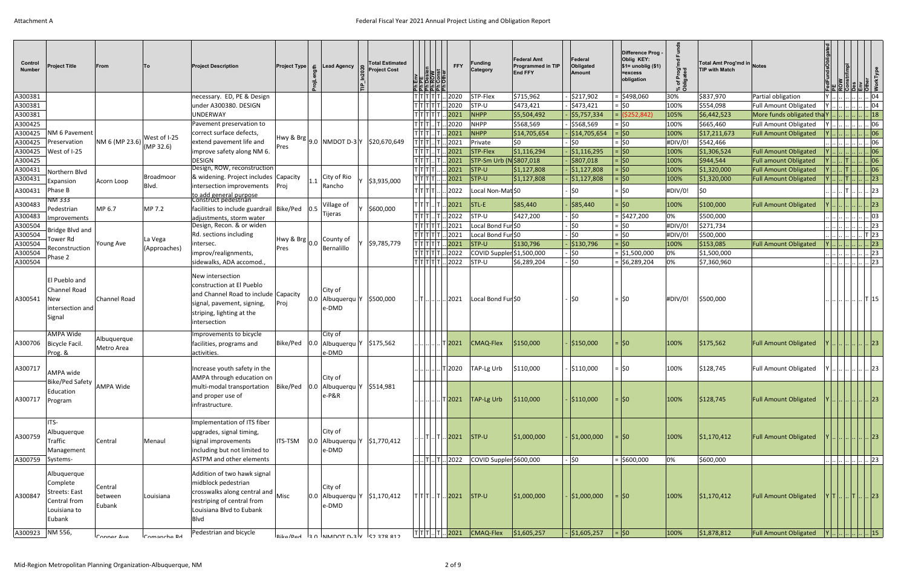| Control<br><b>Number</b> | <b>Project Title</b>                                                               | <b>From</b>                  | <b>ITo</b>   | <b>Project Description</b>                                                                                                                                                      | <b>Project Type</b> $\boldsymbol{\epsilon}$ |                             | Lead Agency                                             | <b>Total Estimated</b><br><b>Project Cost</b> | 뢰귊눎눌,                                                                         | <b>FFY</b>                 | Funding<br>Category            | <b>Federal Amt</b><br><b>Programmed in TIP</b><br><b>End FFY</b> | Federal<br>Obligated<br>Amount | Difference Prog<br>Oblig KEY:<br>$$1=$ unoblig $($1)$<br>=excess<br>obligation | Prog'md<br>gated<br>`চ ≝<br>ี × ∩ี | Total Amt Prog'md in Notes<br><b>TIP with Match</b> |                              |        |                                                                                                                                             |                             |            |
|--------------------------|------------------------------------------------------------------------------------|------------------------------|--------------|---------------------------------------------------------------------------------------------------------------------------------------------------------------------------------|---------------------------------------------|-----------------------------|---------------------------------------------------------|-----------------------------------------------|-------------------------------------------------------------------------------|----------------------------|--------------------------------|------------------------------------------------------------------|--------------------------------|--------------------------------------------------------------------------------|------------------------------------|-----------------------------------------------------|------------------------------|--------|---------------------------------------------------------------------------------------------------------------------------------------------|-----------------------------|------------|
| A300381                  |                                                                                    |                              |              | necessary. ED, PE & Design                                                                                                                                                      |                                             |                             |                                                         |                                               | T T T T T                                                                     | .2020                      | STP-Flex                       | \$715,962                                                        | \$217,902                      | \$498,060                                                                      | 30%                                | \$837,970                                           | Partial obligation           |        |                                                                                                                                             | $\cdot$ 04                  |            |
| A300381                  |                                                                                    |                              |              | under A300380. DESIGN                                                                                                                                                           |                                             |                             |                                                         |                                               | TITITITI                                                                      | .2020                      | STP-U                          | \$473,421                                                        | \$473,421                      | 0\$∣ =                                                                         | 100%                               | \$554,098                                           | Full Amount Obligated        |        |                                                                                                                                             |                             | 04         |
| A300381                  |                                                                                    |                              |              | <b>UNDERWAY</b>                                                                                                                                                                 |                                             |                             |                                                         |                                               | $\vec{r}$ $\vec{r}$ $\left  \vec{r} \right  \vec{r}$ $\left  \vec{r} \right $ | 2021                       | NHPP                           | \$5,504,492                                                      | \$5,757,334                    | $=   ( $252, 842)$                                                             | 105%                               | \$6,442,523                                         | More funds obligated tha Y   |        |                                                                                                                                             |                             | 18         |
| A300425                  |                                                                                    |                              |              | Pavement preservation to                                                                                                                                                        |                                             |                             |                                                         |                                               | T T T                                                                         | $\vert$ 2020               | <b>NHPP</b>                    | \$568,569                                                        | \$568,569                      | $=$ \$0                                                                        | 100%                               | \$665,460                                           | Full Amount Obligated        |        |                                                                                                                                             | 06                          |            |
| A300425                  | NM 6 Pavement                                                                      |                              | West of I-25 | correct surface defects,                                                                                                                                                        |                                             |                             |                                                         |                                               |                                                                               | $\sqrt{2021}$              | NHPP                           | \$14,705,654                                                     | \$14,705,654                   | $=$ \$0                                                                        | 100%                               | \$17,211,673                                        | <b>Full Amount Obligated</b> |        |                                                                                                                                             | .      06                   |            |
| A300425                  | Preservation                                                                       | NM 6 (MP 23.6)               | (MP 32.6)    | extend pavement life and                                                                                                                                                        |                                             |                             | $ Hwy \& Brg _{9.0}$ NMDOT D-3 Y                        | \$20,670,649                                  | T T T  T                                                                      | 2021                       | Private                        | \$0                                                              | \$0                            | $=$ \$0                                                                        | #DIV/0!                            | \$542,466                                           |                              |        | $\left  \ldots \right $ $\left  \ldots \right $ $\left  \ldots \right $ 06                                                                  |                             |            |
| A300425                  | West of I-25                                                                       |                              |              | improve safety along NM 6.                                                                                                                                                      | Pres                                        |                             |                                                         |                                               |                                                                               | 2021                       | STP-Flex                       | \$1,116,294                                                      | \$1,116,295                    | $=$ $ 50$                                                                      | 100%                               | \$1,306,524                                         | <b>Full Amount Obligated</b> |        |                                                                                                                                             | . . 06                      |            |
| A300425                  |                                                                                    |                              |              | <b>DESIGN</b>                                                                                                                                                                   |                                             |                             |                                                         |                                               | $T[T T $ $ T $                                                                | 2021                       |                                | STP-Sm Urb (N \$807,018                                          | \$807,018                      | $=$ \$0                                                                        | 100%                               | \$944,544                                           | <b>Full amount Obligated</b> |        |                                                                                                                                             |                             | $\vert$ 06 |
| A300431                  | Northern Blvd                                                                      |                              |              | Design, ROW, reconstruction                                                                                                                                                     |                                             |                             |                                                         |                                               | T T T                                                                         | 2021                       | $\sqrt{\text{STP-U}}$          | \$1,127,808                                                      | \$1,127,808                    | $=$ \$0                                                                        | 100%                               | \$1,320,000                                         | <b>Full Amount Obligated</b> |        |                                                                                                                                             |                             | 06         |
| A300431                  | Expansion                                                                          | Acorn Loop                   | Broadmoor    | & widening. Project includes Capacity                                                                                                                                           |                                             | 1.1                         | City of Rio                                             | \$3,935,000                                   | ד ד דן                                                                        | 2021                       | $ $ STP-U                      | \$1,127,808                                                      | \$1,127,808                    | $=$ \$0                                                                        | 100%                               | \$1,320,000                                         | <b>Full Amount Obligated</b> |        | IT.                                                                                                                                         |                             | 23         |
| A300431                  | Phase B                                                                            |                              | Blvd.        | intersection improvements Proj                                                                                                                                                  |                                             | Rancho                      |                                                         |                                               | TITITIT                                                                       | 2022                       | Local Non-Mat \$0              |                                                                  | \$0                            | $=$ \$0                                                                        | #DIV/0!                            | ∣\$0                                                |                              |        |                                                                                                                                             |                             | 23         |
| A300483                  | NM 333                                                                             |                              |              | to add general purpose<br>Construct pedestrian                                                                                                                                  |                                             | Village of                  |                                                         |                                               | TITITI…ITI                                                                    | . 2021                     | $\vert$ STL-E                  | \$85,440                                                         | \$85,440                       | $=$ $ 50 $                                                                     | 100%                               | \$100,000                                           | <b>Full Amount Obligated</b> |        |                                                                                                                                             |                             | 23         |
| A300483                  | Pedestrian                                                                         | MP 6.7                       | MP 7.2       | facilities to include guardrail Bike/Ped                                                                                                                                        |                                             | 0.5<br>Tijeras              |                                                         | \$600,000                                     | $ \tau \tau \tau $ $ \tau $ .                                                 | 2022                       | STP-U                          | \$427,200                                                        | \$0                            | $=$ \$427,200                                                                  | 0%                                 | \$500,000                                           |                              |        |                                                                                                                                             |                             | .03        |
| A300504                  | <b>Improvements</b>                                                                |                              |              | adjustments, storm water<br>Design, Recon. & or widen                                                                                                                           |                                             |                             |                                                         |                                               | $ \tau \tau \tau \tau $                                                       | .2021                      | Local Bond Fur \$0             |                                                                  | \$0                            | $=$ \$0                                                                        | #DIV/0!                            | \$271,734                                           |                              |        |                                                                                                                                             |                             | .  23      |
| A300504                  | Bridge Blvd and                                                                    |                              |              | Rd. sections including                                                                                                                                                          |                                             |                             |                                                         |                                               | TITITITI                                                                      | 2021                       | Local Bond Fur \$0             |                                                                  | 50                             | $=$ \$0                                                                        | #DIV/0!                            | \$500,000                                           |                              |        |                                                                                                                                             | T 23                        |            |
| A300504                  | Tower Rd                                                                           | Young Ave                    | La Vega      | intersec.                                                                                                                                                                       | Hwy & Brg                                   | County of<br>0.0            |                                                         | \$9,785,779                                   | י דודודוז                                                                     |                            | $.2021$ STP-U                  | \$130,796                                                        | $\frac{1}{2}$ \$130,796        | $=$ \$0                                                                        | 100%                               | \$153,085                                           | <b>Full Amount Obligated</b> |        |                                                                                                                                             |                             | 23         |
| A300504                  | Reconstruction                                                                     |                              | (Approaches) | improv/realignments,                                                                                                                                                            | Pres                                        | Bernalillo                  |                                                         |                                               | T[T T T                                                                       | 2022                       |                                | COVID Suppler \$1,500,000                                        | \$0                            | = \$1,500,000                                                                  | 0%                                 | \$1,500,000                                         |                              |        | $\left\lfloor \right\rfloor \left\lfloor \right\rfloor \left\lfloor \right\rfloor \left\lfloor \right\rfloor \left\lfloor \right\rfloor$ 23 |                             |            |
| A300504                  | Phase 2                                                                            |                              |              | sidewalks, ADA accomod.,                                                                                                                                                        |                                             |                             |                                                         |                                               | ד ד ד ד ד .                                                                   | 2022                       | STP-U                          | \$6,289,204                                                      | \$0                            | $=$ \$6,289,204                                                                | 0%                                 | \$7,360,960                                         |                              |        | 23                                                                                                                                          |                             |            |
| A300541                  | El Pueblo and<br><b>Channel Road</b><br>New<br>intersection and<br>Signal          | Channel Road                 |              | New intersection<br>construction at El Pueblo<br>and Channel Road to include Capacity<br>signal, pavement, signing,<br>striping, lighting at the<br>intersection                | Proj                                        | City of<br>0.0<br>e-DMD     | Albuquerqu Y                                            | \$500,000                                     | . T                                                                           | . 2021                     | Local Bond Fur \$0             |                                                                  | ISO                            | $=$ 50                                                                         | #DIV/0!                            | \$500,000                                           |                              |        |                                                                                                                                             | T15                         |            |
| A300706                  | AMPA Wide<br>Bicycle Facil.<br>Prog. &                                             | Albuquerque<br>Metro Area    |              | Improvements to bicycle<br>facilities, programs and<br>activities.                                                                                                              | Bike/Ped                                    | City of<br> 0.0 <br>e-DMD   | Albuquerqu Y                                            | \$175,562                                     |                                                                               | $T$ 2021                   | CMAQ-Flex                      | \$150,000                                                        | \$150,000                      | $=$ $ 50$                                                                      | 100%                               | \$175,562                                           | <b>Full Amount Obligated</b> |        |                                                                                                                                             | $\vert \vert$ 23            |            |
| A300717                  | AMPA wide<br>Bike/Ped Safety                                                       |                              |              | Increase youth safety in the<br>AMPA through education on                                                                                                                       |                                             | City of                     |                                                         |                                               |                                                                               | .     T 2020               | TAP-Lg Urb                     | \$110,000                                                        | \$110,000                      | $=$ SO                                                                         | 100%                               | \$128,745                                           | Full Amount Obligated        |        | Y       23                                                                                                                                  |                             |            |
| A300717                  | Education<br>Program                                                               | <b>AMPA Wide</b>             |              | multi-modal transportation<br>and proper use of<br>infrastructure.                                                                                                              | Bike/Ped 0.0 Albuquerqu Y                   | $e-P&R$                     |                                                         | \$514,981                                     |                                                                               | . T 2021                   | $\vert$ TAP-Lg Urb             | \$110,000                                                        | \$110,000                      | $=$ 50                                                                         | 100%                               | \$128,745                                           | Full Amount Obligated        |        | 23                                                                                                                                          |                             |            |
| A300759                  | ITS-<br>Albuquerque<br>Traffic<br>Management                                       | Central                      | Menaul       | Implementation of ITS fiber<br>upgrades, signal timing,<br>signal improvements<br>including but not limited to                                                                  | ITS-TSM                                     | City of<br>e-DMD            | $\vert 0.0 \vert$ Albuquerqu Y $\vert 51,770,412 \vert$ |                                               |                                                                               | .  T  T  2021  STP-U       |                                | \$1,000,000                                                      | \$1,000,000                    | $=$ $ 50 $                                                                     | 100%                               | \$1,170,412                                         | Full Amount Obligated        |        |                                                                                                                                             | $\ldots$ $\ldots$ $\sim$ 23 |            |
| A300759                  | Systems-                                                                           |                              |              | ASTPM and other elements                                                                                                                                                        |                                             |                             |                                                         |                                               |                                                                               |                            |                                | T  T  2022  COVID Suppler \$600,000                              | - ∣\$0                         | $=$ \$600,000                                                                  | 0%                                 | \$600,000                                           |                              |        | $\ldots$ $\ldots$ $\ldots$ $\ldots$ $\ldots$ $\ldots$ $\ldots$ $\lfloor 23 \rfloor$                                                         |                             |            |
| A300847                  | Albuquerque<br>Complete<br>Streets: East<br>Central from<br>Louisiana to<br>Eubank | Central<br>between<br>Eubank | Louisiana    | Addition of two hawk signal<br>midblock pedestrian<br>$\left \text{crosswalks along central and}\right $ Misc<br>restriping of central from<br>Louisiana Blvd to Eubank<br>Blvd |                                             | City of<br>$0.0\,$<br>e-DMD | Albuquerqu $ Y $ \$1,170,412                            |                                               |                                                                               | $ T T T $ $ T $ 2021 STP-U |                                | \$1,000,000                                                      | \$1,000,000                    | $=$ 50                                                                         | 100%                               | \$1,170,412                                         | Full Amount Obligated        | $Y[T]$ | . IT I                                                                                                                                      | 23                          |            |
| A300923 NM 556,          |                                                                                    | Connor Avo                   | Comanche Rd  | Pedestrian and bicycle                                                                                                                                                          |                                             |                             | כום פדב כגל - vinnnnt n.slv - לאמם/מאום                 |                                               |                                                                               |                            | $ T T T $ $ T $ 2021 CMAQ-Flex | \$1,605,257                                                      | \$1,605,257                    | $=$ $ 50$                                                                      | 100%                               | \$1,878,812                                         | Full Amount Obligated        |        | $\vert$ Y $\vert$ $\vert$ $\vert$ $\vert$ $\vert$ $\vert$ 15                                                                                |                             |            |
|                          |                                                                                    |                              |              |                                                                                                                                                                                 |                                             |                             |                                                         |                                               |                                                                               |                            |                                |                                                                  |                                |                                                                                |                                    |                                                     |                              |        |                                                                                                                                             |                             |            |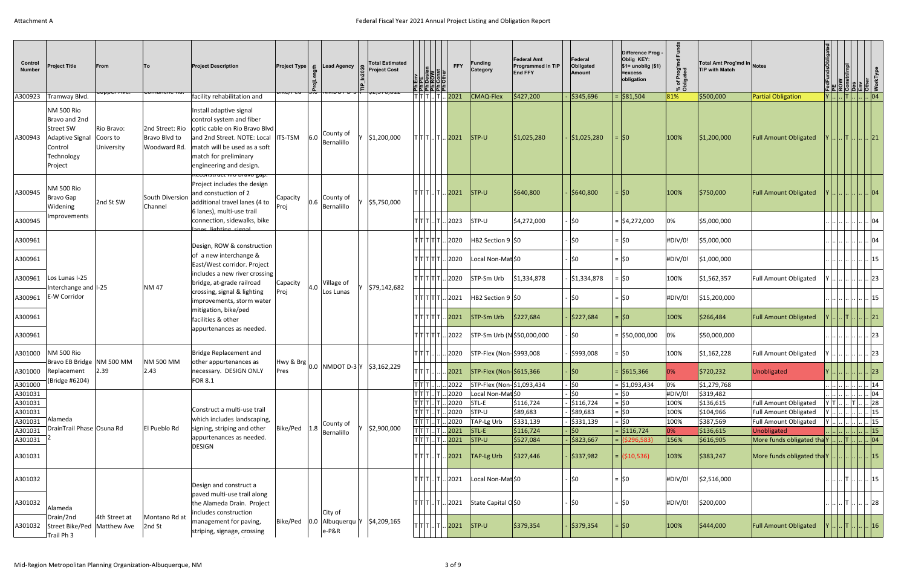| Control<br><b>Number</b> | <b>Project Title</b>                                                                                   | <b>From</b><br><del>copper Ave.</del> | <b>To</b><br><del>comandre nu.</del>                     | <b>Project Description</b>                                                                                                                                                                              | <del>unc/reu</del> |           | $ Project Type  \le  $ Lead Agency<br>$\frac{1}{100}$   Ivivido   $\frac{1}{100}$   $\frac{1}{200}$   Ivivido   $\frac{1}{200}$ | <b>Total Estimated</b><br><b>Project Cost</b> | mei<br><b>ELL</b> SOFFEE<br>뢰큌뉡궄눕 | <b>FFY</b>                                                  | Funding<br>Category                      | <b>Federal Amt</b><br><b>Programmed in TIP</b><br><b>End FFY</b> | Federal<br>Obligated<br><b>Amount</b> | Difference Prog .<br>Oblig KEY:<br>$$1=$ unoblig $($1)$<br>=excess<br>obligation | Prog'n<br><sub>1ated</sub><br>`চ ≑ | Total Amt Prog'md in Notes<br><b>TIP with Match</b> |                                                                                          |    | jälál51 s                                                                                                           |
|--------------------------|--------------------------------------------------------------------------------------------------------|---------------------------------------|----------------------------------------------------------|---------------------------------------------------------------------------------------------------------------------------------------------------------------------------------------------------------|--------------------|-----------|---------------------------------------------------------------------------------------------------------------------------------|-----------------------------------------------|-----------------------------------|-------------------------------------------------------------|------------------------------------------|------------------------------------------------------------------|---------------------------------------|----------------------------------------------------------------------------------|------------------------------------|-----------------------------------------------------|------------------------------------------------------------------------------------------|----|---------------------------------------------------------------------------------------------------------------------|
| A300923                  | Tramway Blvd.                                                                                          |                                       |                                                          | facility rehabilitation and                                                                                                                                                                             |                    |           |                                                                                                                                 |                                               | T T T  T   <mark>2021</mark>      |                                                             | CMAQ-Flex                                | \$427,200                                                        | \$345,696                             | = \$81,504                                                                       | 81%                                | \$500,000                                           | <b>Partial Obligation</b>                                                                |    | $ Y $ $  T $ $  04$                                                                                                 |
| A300943                  | <b>NM 500 Rio</b><br>Bravo and 2nd<br>Street SW<br>Adaptive Signal<br>Control<br>Technology<br>Project | Rio Bravo:<br>Coors to<br>University  | 2nd Street: Rio<br>Bravo Blvd to<br>Woodward Rd.         | Install adaptive signal<br>control system and fiber<br>optic cable on Rio Bravo Blvd<br>and 2nd Street. NOTE: Local<br>match will be used as a soft<br>match for preliminary<br>engineering and design. | ITS-TSM            | 6.0       | County of<br>Bernalillo                                                                                                         | \$1,200,000                                   | $ T T T $ $ T $ 2021              |                                                             | $ STP-U $                                | \$1,025,280                                                      | \$1,025,280                           | = ISO                                                                            | 100%                               | \$1,200,000                                         | <b>Full Amount Obligated</b>                                                             |    | .  T        21                                                                                                      |
| A300945                  | <b>NM 500 Rio</b><br>Bravo Gap<br>Widening                                                             | 2nd St SW                             | South Diversion<br>Channel                               | keconstruct kio Bravo gap.<br>Project includes the design<br>and constuction of 2<br>additional travel lanes (4 to                                                                                      | Capacity<br>Proj   | 0.6       | County of<br>Bernalillo                                                                                                         | \$5,750,000                                   | т т т  т  <mark> 2021</mark> .    |                                                             | $ISTP-U$                                 | \$640,800                                                        | \$640,800                             | $=$ 50                                                                           | 100%                               | \$750,000                                           | <b>Full Amount Obligated</b>                                                             |    | .  04                                                                                                               |
| A300945                  | Improvements                                                                                           |                                       |                                                          | 6 lanes), multi-use trail<br>connection, sidewalks, bike<br>ange lighting signa                                                                                                                         |                    |           |                                                                                                                                 |                                               | T T T  T  2023                    |                                                             | STP-U                                    | \$4,272,000                                                      | ISO.                                  | $=$ \$4,272,000                                                                  | 0%                                 | \$5,000,000                                         |                                                                                          |    | 04                                                                                                                  |
| A300961                  |                                                                                                        |                                       |                                                          | Design, ROW & construction                                                                                                                                                                              |                    |           |                                                                                                                                 |                                               | $T T T T $ 2020                   |                                                             | HB2 Section 9 \$0                        |                                                                  | <b>SO</b>                             | =  \$0                                                                           | #DIV/0!                            | \$5,000,000                                         |                                                                                          |    | 04                                                                                                                  |
| A300961                  |                                                                                                        |                                       |                                                          | of a new interchange &<br>East/West corridor. Project                                                                                                                                                   |                    |           |                                                                                                                                 |                                               | $T T T T $ 2020                   |                                                             | Local Non-Mat \$0                        |                                                                  | <b>SO</b>                             | $=$ \$0                                                                          | #DIV/0!                            | \$1,000,000                                         |                                                                                          |    | 15                                                                                                                  |
| A300961                  | Los Lunas I-25<br>Interchange and I-25                                                                 |                                       |                                                          | includes a new river crossing<br>bridge, at-grade railroad                                                                                                                                              | Capacity           | 4.0       | Village of                                                                                                                      | 579,142,682                                   | T T T T T  2020                   |                                                             | STP-Sm Urb                               | \$1,334,878                                                      | \$1,334,878                           | $=$ \$0                                                                          | 100%                               | \$1,562,357                                         | Full Amount Obligated                                                                    |    | 23                                                                                                                  |
| A300961                  | E-W Corridor                                                                                           | <b>NM 47</b>                          | crossing, signal & lighting<br>improvements, storm water | Proj                                                                                                                                                                                                    |                    | Los Lunas |                                                                                                                                 | $ T T T T $ .                                 | 2021                              | HB2 Section 9 \$0                                           |                                          | <b>SO</b>                                                        | $=$ \$0                               | #DIV/0!                                                                          | \$15,200,000                       |                                                     |                                                                                          | 15 |                                                                                                                     |
| A300961                  |                                                                                                        |                                       |                                                          | mitigation, bike/ped<br>facilities & other                                                                                                                                                              |                    |           |                                                                                                                                 |                                               | $T T T T $ 2021                   |                                                             | STP-Sm Urb                               | \$227,684                                                        | \$227,684                             | $=$ 50                                                                           | 100%                               | \$266,484                                           | <b>Full Amount Obligated</b>                                                             |    | .  21                                                                                                               |
| A300961                  |                                                                                                        |                                       |                                                          | appurtenances as needed.                                                                                                                                                                                |                    |           |                                                                                                                                 |                                               | TITITITI                          | 2022                                                        | STP-Sm Urb (N \$50,000,000               |                                                                  | l\$0                                  | = \$50,000,000                                                                   | 0%                                 | \$50,000,000                                        |                                                                                          |    | 23                                                                                                                  |
| A301000                  | <b>NM 500 Rio</b><br>Bravo EB Bridge NM 500 MM                                                         |                                       | <b>NM 500 MM</b>                                         | Bridge Replacement and<br>other appurtenances as                                                                                                                                                        |                    |           | $\frac{1}{2}$ <sup>Hwy &amp; Brg</sup> 0.0 NMDOT D-3 Y \$3,162,229                                                              |                                               |                                   | . 2020                                                      | STP-Flex (Non- \$993,008                 |                                                                  | \$993,008                             | $=$ 50                                                                           | 100%                               | \$1,162,228                                         | <b>Full Amount Obligated</b>                                                             |    | 23                                                                                                                  |
|                          | A301000 Replacement 2.39<br>(Bridge #6204)                                                             |                                       | 2.43                                                     | necessary. DESIGN ONLY<br><b>FOR 8.1</b>                                                                                                                                                                |                    |           |                                                                                                                                 |                                               | TITI I                            |                                                             | $.2021$ STP-Flex (Non-\$615,366          |                                                                  | ∣\$0                                  | $=$ \$615,366                                                                    |                                    | \$720,232                                           | Unobligated                                                                              |    | $  \cdots  \cdots  \cdots  ^{25}$                                                                                   |
| A301000                  |                                                                                                        |                                       |                                                          |                                                                                                                                                                                                         |                    |           |                                                                                                                                 |                                               |                                   |                                                             | $ T T   2022$ STP-Flex (Non- \$1,093,434 |                                                                  | \$0                                   | $=$ \$1,093,434                                                                  | 0%                                 | \$1,279,768                                         |                                                                                          |    | <u>             14</u> <sub> </sub>                                                                                 |
| A301031                  |                                                                                                        |                                       |                                                          |                                                                                                                                                                                                         |                    |           |                                                                                                                                 |                                               |                                   | $T$ $T$ $T$ $T$ $T$ $T$ $L$ $2020$                          | Local Non-Mat \$0                        |                                                                  | $ 50\rangle$                          | $=$ \$0                                                                          | #DIV/0!                            | \$319,482                                           |                                                                                          |    | $'\cdots\cdots\cdots\cdots\cdots\cdots\cdots$ 04 -<br>$\sqrt{Y T  T }$ . . 28                                       |
| A301031<br>A301031       |                                                                                                        |                                       |                                                          | Construct a multi-use trail                                                                                                                                                                             |                    |           |                                                                                                                                 |                                               |                                   | $\overline{ T T T }$ $ T $ $ 2020$ STL-E<br> Τ Τ Τ  T  2020 | STP-U                                    | \$116,724<br>\$89,683                                            | $-$ \$116,724<br>\$89,683             | $=$ \$0<br>$=$ \$0                                                               | 100%<br>100%                       | \$136,615<br>\$104,966                              | <b>Full Amount Obligated</b><br>Full Amount Obligated                                    |    | Y       15                                                                                                          |
| A301031                  | Alameda                                                                                                |                                       |                                                          | which includes landscaping,                                                                                                                                                                             |                    |           |                                                                                                                                 |                                               |                                   | Τ Τ Τ  T  2020                                              | TAP-Lg Urb                               | \$331,139                                                        | $-$ \$331,139                         | $=$ \$0                                                                          | 100%                               | \$387,569                                           | <b>Full Amount Obligated</b>                                                             |    | $\vert$ Y $\vert$ $\vert$ $\vert$ $\vert$ $\vert$ $\vert$ 15                                                        |
| A301031                  | DrainTrail Phase Osuna Rd                                                                              |                                       | El Pueblo Rd                                             | signing, striping and other                                                                                                                                                                             | Bike/Ped 1.8       |           | County of<br>Bernalillo                                                                                                         | \$2,900,000                                   |                                   | $ T T T $ $ T $ 2021 STL-E                                  |                                          | \$116,724                                                        | √\$0∣                                 | $=$ \$116,724                                                                    | 0%                                 | \$136,615                                           | Unobligated                                                                              |    | <u>         </u>         15                                                                                         |
| A301031                  |                                                                                                        |                                       |                                                          | appurtenances as needed.                                                                                                                                                                                |                    |           |                                                                                                                                 |                                               |                                   | $ T T  T  2021$ STP-U                                       |                                          | \$527,084                                                        | \$823,667                             | $=$ (\$296,583)                                                                  | 156%                               | \$616,905                                           | More funds obligated tha $Y$ $\vert \cdot \vert$ $\vert \cdot \vert$ $\vert \cdot \vert$ |    |                                                                                                                     |
| A301031                  |                                                                                                        |                                       |                                                          | <b>DESIGN</b>                                                                                                                                                                                           |                    |           |                                                                                                                                 |                                               |                                   |                                                             | $ T T T $ $ T $ 2021   TAP-Lg Urb        | \$327,446                                                        | \$337,982                             | $=$ (\$10,536)                                                                   | 103%                               | \$383,247                                           | More funds obligated tha Y.                                                              |    | $\vert \vert 15 \vert$                                                                                              |
| A301032                  |                                                                                                        |                                       |                                                          | Design and construct a                                                                                                                                                                                  |                    |           |                                                                                                                                 |                                               |                                   | T T T  T  2021                                              | Local Non-Mat \$0                        |                                                                  | . ∣\$0                                | $=$ \$0                                                                          | #DIV/0!                            | \$2,516,000                                         |                                                                                          |    | .      T         15                                                                                                 |
| A301032                  | Alameda                                                                                                |                                       |                                                          | paved multi-use trail along<br>the Alameda Drain. Project<br>includes construction                                                                                                                      |                    |           | City of                                                                                                                         |                                               |                                   |                                                             | $ T T $ $ T $ $ 2021 $ State Capital OSO |                                                                  | . ∣\$0                                | $=$ \$0                                                                          | #DIV/0!                            | \$200,000                                           |                                                                                          |    | . $\left\vert .\right\vert$ $\left\vert \mathsf{T}\right\vert$ $\left\vert .\right\vert$ $\left\vert 28\right\vert$ |
| A301032                  | Drain/2nd<br>Street Bike/Ped   Matthew Ave<br>Trail Ph 3                                               | 4th Street at                         | Montano Rd at<br>2nd St                                  | management for paving,<br>striping, signage, crossing                                                                                                                                                   | Bike/Ped           | 0.0       | Albuquerqu Y \$4,209,165<br>$e-P&R$                                                                                             |                                               |                                   | $ T T T $ $ T $ 2021 STP-U                                  |                                          | \$379,354                                                        | \$379,354                             | $=$ $ 50$                                                                        | 100%                               | \$444,000                                           | <b>Full Amount Obligated</b>                                                             |    | $\lfloor \rfloor$ . $\lfloor \rfloor$ . $\lfloor \rfloor$ 16                                                        |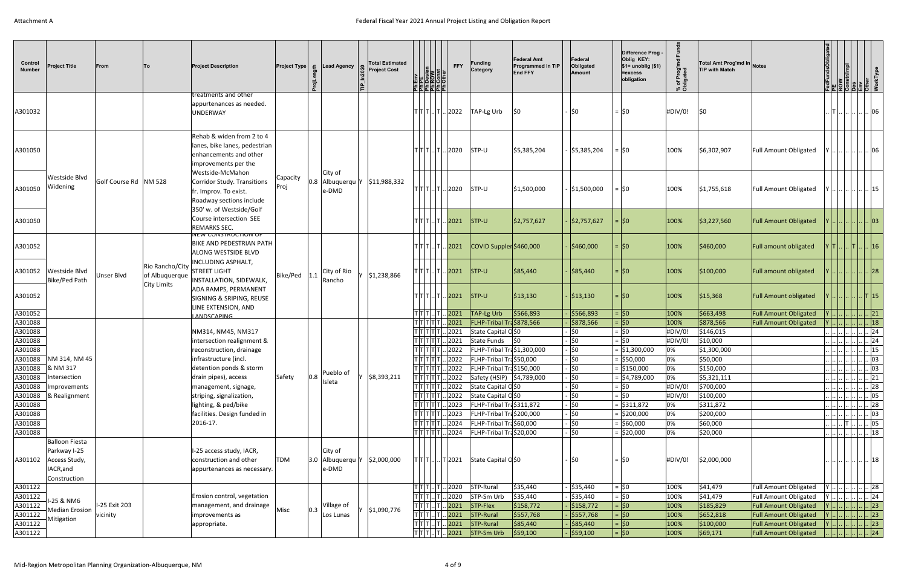| Control<br><b>Number</b> | <b>Project Title</b>                                       | From                  | lTo.                                                    | <b>Project Description</b>                                                                                   |                  |     | <b>Project Type</b> $\boldsymbol{\epsilon}$ Lead Agency    | <b>Total Estimated</b><br><b>Project Cost</b> |                                                           | Ph Env<br>Ph PE<br>Ph Desien<br>Ph Const<br>Ph Other | <b>FFY</b>                                                  | Funding<br>Category                                                    | <b>Federal Amt</b><br><b>Programmed in TIP</b><br><b>End FFY</b> | Federal<br>Obligated<br>Amount         | Difference Prog<br>Oblig KEY:<br>$$1=$ unoblig $($1)$<br>=excess<br>obligation | % of Prog'm<br>Obligated | Total Amt Prog'md in Notes<br><b>TIP with Match</b> |                              | FedFundsObligated<br>PE<br>ROW                                                                                                                                                                                                                                                                                                                                                              | <u>   SILE   S</u> |                      |
|--------------------------|------------------------------------------------------------|-----------------------|---------------------------------------------------------|--------------------------------------------------------------------------------------------------------------|------------------|-----|------------------------------------------------------------|-----------------------------------------------|-----------------------------------------------------------|------------------------------------------------------|-------------------------------------------------------------|------------------------------------------------------------------------|------------------------------------------------------------------|----------------------------------------|--------------------------------------------------------------------------------|--------------------------|-----------------------------------------------------|------------------------------|---------------------------------------------------------------------------------------------------------------------------------------------------------------------------------------------------------------------------------------------------------------------------------------------------------------------------------------------------------------------------------------------|--------------------|----------------------|
| A301032                  |                                                            |                       |                                                         | treatments and other<br>appurtenances as needed.<br><b>UNDERWAY</b>                                          |                  |     |                                                            |                                               |                                                           |                                                      | $\mathsf{T} \mathsf{T} \mathsf{T} \mathsf{T} \mathsf{2022}$ | TAP-Lg Urb                                                             | <b>SO</b>                                                        | \$0                                    | $=$ \$0                                                                        | #DIV/0!                  | <b>SO</b>                                           |                              | T            06                                                                                                                                                                                                                                                                                                                                                                             |                    |                      |
| A301050                  |                                                            |                       |                                                         | Rehab & widen from 2 to 4<br>lanes, bike lanes, pedestrian<br>enhancements and other<br>improvements per the |                  |     |                                                            |                                               |                                                           |                                                      | $\mathsf{T} \mathsf{T} \mathsf{T} \mathsf{T} \mathsf{2020}$ | STP-U                                                                  | \$5,385,204                                                      | \$5,385,204                            | $=$ \$0                                                                        | 100%                     | \$6,302,907                                         | Full Amount Obligated        |                                                                                                                                                                                                                                                                                                                                                                                             |                    | $\vert$ 06           |
| A301050                  | Westside Blvd<br>Widening                                  | Golf Course Rd NM 528 |                                                         | Westside-McMahon<br>Corridor Study. Transitions<br>fr. Improv. To exist.<br>Roadway sections include         | Capacity<br>Proj |     | City of<br>$ 0.8 $ Albuquerqu   Y   \$11,988,332<br>e-DMD  |                                               |                                                           |                                                      | $T[T T  T  2020$ STP-U                                      |                                                                        | \$1,500,000                                                      | \$1,500,000                            | $=$ 50                                                                         | 100%                     | \$1,755,618                                         | <b>Full Amount Obligated</b> |                                                                                                                                                                                                                                                                                                                                                                                             |                    | $\lceil . \rceil$ 15 |
| A301050                  |                                                            |                       |                                                         | 350' w. of Westside/Golf<br>Course intersection SEE<br><b>REMARKS SEC.</b>                                   |                  |     |                                                            |                                               |                                                           |                                                      | TTT.T.T.2021                                                | $ STP-U $                                                              | \$2,757,627                                                      | \$2,757,627                            | $=$ 50                                                                         | 100%                     | \$3,227,560                                         | <b>Full Amount Obligated</b> |                                                                                                                                                                                                                                                                                                                                                                                             |                    | $\cdot$ 03           |
| A301052                  |                                                            |                       |                                                         | <b>NEW CONSTRUCTION OF</b><br><b>BIKE AND PEDESTRIAN PATH</b><br><b>ALONG WESTSIDE BLVD</b>                  |                  |     |                                                            |                                               |                                                           |                                                      | $T$ $T$ $T$ $T$ $T$ $T$ $T$ $T$ $T$ $T$ $T$ $T$ $T$         | COVID Suppler \$460,000                                                |                                                                  | \$460,000                              | $=$ 50                                                                         | 100%                     | \$460,000                                           | Full amount obligated        | $ Y T $ $ \cdot T $ $ \cdot 16 $                                                                                                                                                                                                                                                                                                                                                            |                    |                      |
| A301052                  | Westside Blvd<br>Bike/Ped Path                             | <b>Unser Blvd</b>     | Rio Rancho/City<br>of Albuquerque<br><b>City Limits</b> | INCLUDING ASPHALT,<br><b>STREET LIGHT</b><br>INSTALLATION, SIDEWALK,                                         | Bike/Ped 1.1     |     | City of Rio<br>Rancho                                      | Y \$1,238,866                                 |                                                           |                                                      | $T[T].$ $T[.$  2021                                         | $ISTP-U$                                                               | \$85,440                                                         | \$85,440                               | $=$ $ 50$                                                                      | 100%                     | \$100,000                                           | Full amount obligated        |                                                                                                                                                                                                                                                                                                                                                                                             | .          28      |                      |
| A301052                  |                                                            |                       |                                                         | ADA RAMPS, PERMANENT<br>SIGNING & SRIPING, REUSE<br>LINE EXTENSION, AND                                      |                  |     |                                                            |                                               |                                                           |                                                      | $T[T].$ $T[.$  2021                                         | $ $ STP-U                                                              | \$13,130                                                         | \$13,130                               | $=$ $ 50$                                                                      | 100%                     | \$15,368                                            | <b>Full Amount obligated</b> |                                                                                                                                                                                                                                                                                                                                                                                             |                    | . T 15               |
| A301052                  |                                                            |                       |                                                         | <b>ANDSCAPING</b>                                                                                            |                  |     |                                                            |                                               | $ \tau \tau \tau \tau \tau $                              | T[T T  T ]                                           | $\frac{2021}{ }$<br>$\sqrt{2021}$                           | TAP-Lg Urb<br>FLHP-Tribal Tra\$878,566                                 | \$566,893                                                        | \$566,893                              | $=$ \$0<br>$=$ \$0                                                             | 100%<br>100%             | \$663,498<br>\$878,566                              | <b>Full Amount Obligated</b> | $ Y $ $       21$                                                                                                                                                                                                                                                                                                                                                                           |                    |                      |
| A301088<br>A301088       |                                                            |                       |                                                         | NM314, NM45, NM317                                                                                           |                  |     |                                                            |                                               | T[T T T                                                   |                                                      |                                                             | $ 2021 $ State Capital OS0                                             |                                                                  | $\frac{1}{5878,566}$<br>$\frac{1}{2}0$ | $=$ \$0                                                                        | #DIV/0!                  | \$146,015                                           | <b>Full Amount Obligated</b> | $\ldots$ $\ldots$ $\ldots$ $\ldots$ $\ldots$ $\ldots$ 24                                                                                                                                                                                                                                                                                                                                    |                    |                      |
| A301088                  |                                                            |                       |                                                         | intersection realignment &                                                                                   |                  |     |                                                            |                                               | דודודוז                                                   |                                                      |                                                             | 2021 State Funds                                                       | ∫\$0                                                             | \$0                                    | $=$ \$0                                                                        | #DIV/0!                  | \$10,000                                            |                              |                                                                                                                                                                                                                                                                                                                                                                                             |                    | $\lceil 24 \rceil$   |
| A301088                  |                                                            |                       |                                                         | reconstruction, drainage                                                                                     |                  |     |                                                            |                                               |                                                           |                                                      | $\vert$ 2022                                                | FLHP-Tribal Tra\$1,300,000                                             |                                                                  | $\frac{1}{2}0$                         | $=$ \$1,300,000                                                                | 0%                       | \$1,300,000                                         |                              |                                                                                                                                                                                                                                                                                                                                                                                             |                    | 15                   |
|                          | A301088   NM 314, NM 45                                    |                       |                                                         | infrastructure (incl.                                                                                        |                  |     |                                                            |                                               |                                                           |                                                      | 2022                                                        | FLHP-Tribal Tra\$50,000                                                |                                                                  | $\frac{1}{2}$                          | $=$ \$50,000                                                                   | 0%                       | \$50,000                                            |                              | $\left\lfloor \right\rfloor \left\lfloor \right\rfloor \left\lfloor \right\rfloor \left\lfloor . 03 \right\rfloor$                                                                                                                                                                                                                                                                          |                    |                      |
|                          | A301088  & NM 317                                          |                       |                                                         | detention ponds & storm                                                                                      |                  |     |                                                            |                                               |                                                           | $T[T T T T .$                                        |                                                             | . 2022   FLHP-Tribal Tra\$150,000                                      |                                                                  | \$0                                    | $=$ \$150,000                                                                  | 0%                       | \$150,000                                           |                              |                                                                                                                                                                                                                                                                                                                                                                                             |                    | 03                   |
| A301088                  | Intersection                                               |                       |                                                         | drain pipes), access                                                                                         | Safety           | 0.8 | Pueblo of<br>Isleta                                        | \$8,393,211                                   |                                                           | T T T T                                              |                                                             | . 2022 Safety (HSIP) \$4,789,000                                       |                                                                  | \$0                                    | $=$ \$4,789,000                                                                | 0%                       | \$5,321,111                                         |                              | <u>                 </u>  21                                                                                                                                                                                                                                                                                                                                                                |                    |                      |
| A301088                  | Improvements                                               |                       |                                                         | management, signage,                                                                                         |                  |     |                                                            |                                               |                                                           | T T T T T                                            |                                                             | $.$  2022   State Capital OSO                                          |                                                                  | \$0                                    | $=$ \$0                                                                        | #DIV/0!                  | \$700,000                                           |                              | $\left\lfloor \right\rfloor \left\lfloor \right\rfloor \left\lfloor \right\rfloor \left\lfloor . 28 \right\rfloor$                                                                                                                                                                                                                                                                          |                    |                      |
|                          | A301088  & Realignment                                     |                       |                                                         | striping, signalization,                                                                                     |                  |     |                                                            |                                               |                                                           | T T T T T                                            |                                                             | $.$  2022 State Capital OSO                                            |                                                                  | \$0                                    | $=$ \$0                                                                        | #DIV/0!                  | \$100,000                                           |                              |                                                                                                                                                                                                                                                                                                                                                                                             |                    | $\lceil . \rceil$ 05 |
| A301088                  |                                                            |                       |                                                         | lighting, & ped/bike                                                                                         |                  |     |                                                            |                                               | T T T T T                                                 |                                                      |                                                             | $ 2023 $ FLHP-Tribal Tra\$311,872                                      |                                                                  | \$0                                    | $=$ \$311,872                                                                  | 0%                       | \$311,872                                           |                              |                                                                                                                                                                                                                                                                                                                                                                                             |                    | 28                   |
| A301088                  |                                                            |                       |                                                         | facilities. Design funded in                                                                                 |                  |     |                                                            |                                               | T T T T                                                   |                                                      |                                                             | $ 2023 $ FLHP-Tribal Tra\$200,000                                      |                                                                  | $\frac{1}{2}$                          | $=$ \$200,000                                                                  | 0%                       | \$200,000                                           |                              | $\begin{picture}(150,10) \put(0,0){\dashbox{0.5}(10,0){ }} \put(15,0){\circle{10}} \put(15,0){\circle{10}} \put(15,0){\circle{10}} \put(15,0){\circle{10}} \put(15,0){\circle{10}} \put(15,0){\circle{10}} \put(15,0){\circle{10}} \put(15,0){\circle{10}} \put(15,0){\circle{10}} \put(15,0){\circle{10}} \put(15,0){\circle{10}} \put(15,0){\circle{10}} \put(15,0){\circle{10}} \put(15$ |                    | 03                   |
| A301088<br>A301088       |                                                            |                       |                                                         | 2016-17.                                                                                                     |                  |     |                                                            |                                               | T T T T                                                   | $ \mathsf{T} \mathsf{T} \mathsf{T} \mathsf{T} $ .    |                                                             | 2024   FLHP-Tribal Tra \$60,000<br>$.$  2024   FLHP-Tribal Tra\$20,000 |                                                                  | \$0<br>- ∣\$0                          | $=$ \$60,000<br>= \$20,000                                                     | 0%<br>0%                 | \$60,000<br>\$20,000                                |                              | $'$ $ $ $ \tau $ .                                                                                                                                                                                                                                                                                                                                                                          |                    | 05<br> 18            |
|                          | <b>Balloon Fiesta</b>                                      |                       |                                                         |                                                                                                              |                  |     |                                                            |                                               |                                                           |                                                      |                                                             |                                                                        |                                                                  |                                        |                                                                                |                          |                                                     |                              |                                                                                                                                                                                                                                                                                                                                                                                             |                    |                      |
| A301102                  | Parkway I-25<br>Access Study,<br>IACR, and<br>Construction |                       |                                                         | I-25 access study, IACR,<br>construction and other<br>appurtenances as necessary.                            | <b>TDM</b>       |     | City of<br>$ 3.0 $ Albuquerqu Y $ 52,000,000 $<br>$e$ -DMD |                                               |                                                           |                                                      |                                                             | $T[T T ]$ $T 2021$ State Capital OS0                                   |                                                                  | ∣\$0                                   | $=$ \$0                                                                        | #DIV/0!                  | \$2,000,000                                         |                              |                                                                                                                                                                                                                                                                                                                                                                                             |                    | .  18                |
| A301122                  |                                                            |                       |                                                         |                                                                                                              |                  |     |                                                            |                                               |                                                           | $ T T T $ $ T $ .                                    |                                                             | $ 2020 $ STP-Rural                                                     | \$35,440                                                         | $\frac{1}{5}$ \$35,440                 | $=$ \$0                                                                        | 100%                     | \$41,479                                            | <b>Full Amount Obligated</b> | $ Y $ $      $ 28                                                                                                                                                                                                                                                                                                                                                                           |                    |                      |
| A301122                  | I-25 & NM6                                                 |                       |                                                         | Erosion control, vegetation                                                                                  |                  |     |                                                            |                                               | $\overline{\tau}\vert\overline{\tau}\vert\overline{\tau}$ |                                                      |                                                             | $ 2020 $ STP-Sm Urb                                                    | \$35,440                                                         | $\frac{1}{5}$ \$35,440                 | $=$ \$0                                                                        | 100%                     | \$41,479                                            | Full Amount Obligated        | $ Y $ $      24$                                                                                                                                                                                                                                                                                                                                                                            |                    |                      |
| A301122                  | <b>Median Erosion</b>                                      | I-25 Exit 203         |                                                         | management, and drainage                                                                                     | Misc             | 0.3 | Village of                                                 | \$1,090,776                                   | $T$ $T$ $T$ $T$                                           |                                                      |                                                             | $2021$ STP-Flex                                                        | \$158,772                                                        | $\frac{1}{2}$ \$158,772                | $=$ \$0                                                                        | 100%                     | \$185,829                                           | Full Amount Obligated        |                                                                                                                                                                                                                                                                                                                                                                                             |                    | $\vert \vert$ 23     |
| A301122                  | Mitigation                                                 | vicinity              |                                                         | improvements as                                                                                              |                  |     | Los Lunas                                                  |                                               | T T T                                                     |                                                      |                                                             | $2021$ STP-Rural                                                       | \$557,768                                                        | $\frac{1}{5557,768}$                   | $=$ $ 50$                                                                      | 100%                     | \$652,818                                           | <b>Full Amount Obligated</b> | Y                                                                                                                                                                                                                                                                                                                                                                                           | .             23   |                      |
| A301122                  |                                                            |                       |                                                         | appropriate.                                                                                                 |                  |     |                                                            |                                               | T T T                                                     |                                                      | $\sqrt{2021}$                                               | $STP-Rural$                                                            | \$85,440                                                         | \$85,440                               | $=$ $ 50$                                                                      | 100%                     | \$100,000                                           | <b>Full Amount Obligated</b> | $\vert$ Y $\vert$ $\vert$ $\vert$ $\vert$ $\vert$ $\vert$ $\vert$ 23                                                                                                                                                                                                                                                                                                                        |                    |                      |
| A301122                  |                                                            |                       |                                                         |                                                                                                              |                  |     |                                                            |                                               |                                                           |                                                      |                                                             | $\sqrt{2021}$ STP-Sm Urb                                               | \$59,100                                                         | ∫\$59,100                              | $=$ $ 50 $                                                                     | 100%                     | \$69,171                                            | <b>Full Amount Obligated</b> | 24                                                                                                                                                                                                                                                                                                                                                                                          |                    |                      |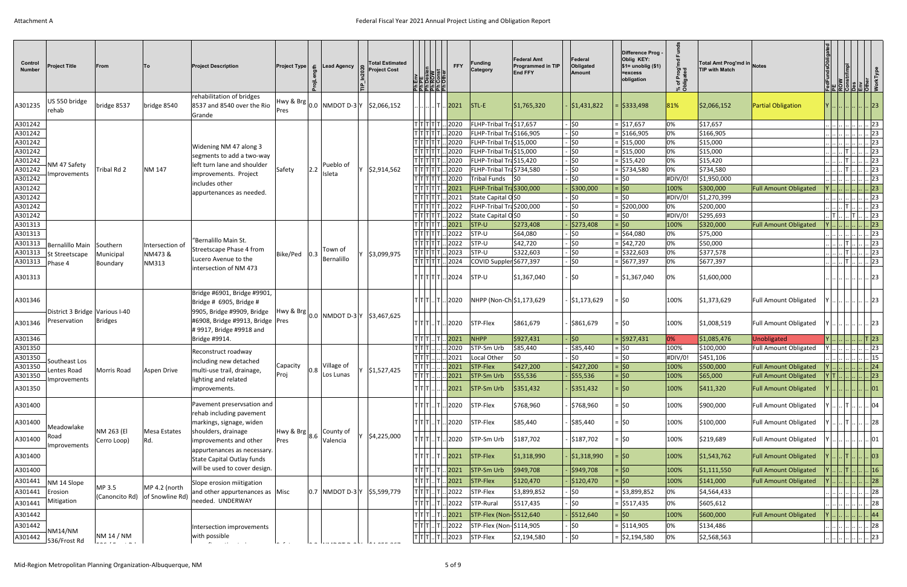| Control<br><b>Number</b> | <b>Project Title</b>           | From                                                                                                                                                                                                                                                                                                                                                                                                                                                                       | lTo l                                           | <b>Project Description</b>                                                           | <b>Project Type</b><br>- 윤 | <b>Lead Agency</b>            | <b>Total Estimated</b><br><b>Project Cost</b>                                                                                                   | <u>   동  동  동  동 </u>                           | <b>FFY</b>            | <b>Funding</b><br>Category                     | <b>Federal Amt</b><br>Programmed in TIP<br><b>End FFY</b> | Federal<br>Obligated<br>Amount | Difference Prog<br>Oblig KEY:<br>\$1= unoblig (\$1)<br>=excess<br>obligation | % of Prog'mo<br>Obligated | Total Amt Prog'md in Notes<br><b>TIP with Match</b> |                                                |                                                                                                                                                                                                                                                       | $\frac{1}{2}$ $\frac{1}{2}$ $\frac{1}{2}$ $\frac{1}{2}$ $\frac{1}{2}$ $\frac{1}{2}$ $\frac{1}{2}$ |                                                          |
|--------------------------|--------------------------------|----------------------------------------------------------------------------------------------------------------------------------------------------------------------------------------------------------------------------------------------------------------------------------------------------------------------------------------------------------------------------------------------------------------------------------------------------------------------------|-------------------------------------------------|--------------------------------------------------------------------------------------|----------------------------|-------------------------------|-------------------------------------------------------------------------------------------------------------------------------------------------|-------------------------------------------------|-----------------------|------------------------------------------------|-----------------------------------------------------------|--------------------------------|------------------------------------------------------------------------------|---------------------------|-----------------------------------------------------|------------------------------------------------|-------------------------------------------------------------------------------------------------------------------------------------------------------------------------------------------------------------------------------------------------------|---------------------------------------------------------------------------------------------------|----------------------------------------------------------|
| A301235                  | US 550 bridge<br>rehab         | bridge 8537                                                                                                                                                                                                                                                                                                                                                                                                                                                                | bridge 8540                                     | rehabilitation of bridges<br>8537 and 8540 over the Rio<br>Grande                    | Hwy & Brg<br>Pres          |                               | 0.0 NMDOT D-3 Y \$2,066,152                                                                                                                     |                                                 | 2021                  | $ STL-E $                                      | \$1,765,320                                               | \$1,431,822                    | \$333,498                                                                    | 81%                       | \$2,066,152                                         | <b>Partial Obligation</b>                      |                                                                                                                                                                                                                                                       |                                                                                                   | $\vert \vert$ 23                                         |
| A301242                  |                                |                                                                                                                                                                                                                                                                                                                                                                                                                                                                            |                                                 |                                                                                      |                            |                               |                                                                                                                                                 | $ T T T T $ ן                                   | 2020                  | FLHP-Tribal Tra\$17,657                        |                                                           | 50                             | $=$ \$17,657                                                                 | 0%                        | \$17,657                                            |                                                | .   . <u>.</u>                                                                                                                                                                                                                                        |                                                                                                   | $\lvert . \rvert$ 23                                     |
| A301242                  |                                |                                                                                                                                                                                                                                                                                                                                                                                                                                                                            |                                                 |                                                                                      |                            |                               |                                                                                                                                                 | ד ד דן                                          | .2020                 | FLHP-Tribal Tra\$166,905                       |                                                           | \$0                            | $=$ \$166,905                                                                | 0%                        | \$166,905                                           |                                                | $        $ 23                                                                                                                                                                                                                                         |                                                                                                   |                                                          |
| A301242                  |                                |                                                                                                                                                                                                                                                                                                                                                                                                                                                                            |                                                 | Widening NM 47 along 3                                                               |                            |                               |                                                                                                                                                 | T T T T                                         | .2020                 | FLHP-Tribal Tra\$15,000                        |                                                           | 50                             | $=$ \$15,000                                                                 | 0%                        | \$15,000                                            |                                                | $\ldots$ $\ldots$ $\ldots$ $\ldots$ $\ldots$ $\ldots$ 23                                                                                                                                                                                              |                                                                                                   |                                                          |
| A301242                  |                                |                                                                                                                                                                                                                                                                                                                                                                                                                                                                            |                                                 | segments to add a two-way                                                            |                            |                               |                                                                                                                                                 | T T T T                                         | . 2020                | FLHP-Tribal Tra\$15,000                        |                                                           | $\frac{1}{2}$                  | $=$ \$15,000                                                                 | 0%                        | \$15,000                                            |                                                | .  .  .  .  T                                                                                                                                                                                                                                         |                                                                                                   | 23                                                       |
| A301242                  | NM 47 Safety                   |                                                                                                                                                                                                                                                                                                                                                                                                                                                                            |                                                 | left turn lane and shoulder                                                          |                            | Pueblo of                     |                                                                                                                                                 | T T T T                                         | 2020                  | FLHP-Tribal Tra\$15,420                        |                                                           | - ∣\$0                         | = \$15,420                                                                   | 0%                        | \$15,420                                            |                                                | $\left\lfloor \right\rfloor$ $\left\lfloor \right\rfloor$ $\left\lfloor \right\rfloor$                                                                                                                                                                |                                                                                                   | 23                                                       |
| A301242                  | mprovements                    | Tribal Rd 2                                                                                                                                                                                                                                                                                                                                                                                                                                                                | NM 147                                          | improvements. Project                                                                | Safety<br>2.2              | Isleta                        | \$2,914,562                                                                                                                                     | т∣т∣т∣т                                         | 2020                  | FLHP-Tribal Tra\$734,580                       |                                                           | \$0                            | $=$ \$734,580                                                                | 0%                        | \$734,580                                           |                                                | $!   \tau .$                                                                                                                                                                                                                                          |                                                                                                   | 23                                                       |
| A301242                  |                                |                                                                                                                                                                                                                                                                                                                                                                                                                                                                            |                                                 | includes other                                                                       |                            |                               |                                                                                                                                                 | ד ד ד ד<br>T[T T]                               | 2020                  | Tribal Funds \$0                               |                                                           | \$0                            | $=$ \$0<br>$=$ \$0                                                           | #DIV/0!                   | \$1,950,000                                         |                                                |                                                                                                                                                                                                                                                       |                                                                                                   | 23<br>$\vert$ 23                                         |
| A301242<br>A301242       |                                |                                                                                                                                                                                                                                                                                                                                                                                                                                                                            |                                                 | appurtenances as needed.                                                             |                            |                               |                                                                                                                                                 | т∣т∣т∣т                                         | 2021<br>2021          | FLHP-Tribal Tra\$300,000<br>State Capital O\$0 |                                                           | ∫\$300,000<br>. ∣\$0           | $=$ \$0                                                                      | 100%<br>#DIV/0!           | \$300,000<br>\$1,270,399                            | <b>Full Amount Obligated</b>                   | $\ldots$ $\ldots$ $\ldots$ $\ldots$ $\ldots$ $\ldots$ $\lfloor 23 \rfloor$                                                                                                                                                                            |                                                                                                   |                                                          |
| A301242                  |                                |                                                                                                                                                                                                                                                                                                                                                                                                                                                                            |                                                 |                                                                                      |                            |                               |                                                                                                                                                 | $\tau \tau \tau $                               | 2022                  | FLHP-Tribal Tra\$200,000                       |                                                           | \$0                            | $=$ \$200,000                                                                | 0%                        | \$200,000                                           |                                                | $\begin{array}{c} \begin{array}{c} \dots \end{array} \begin{array}{c} \dots \end{array} \begin{array}{c} \end{array} \begin{array}{c} \end{array}$                                                                                                    |                                                                                                   |                                                          |
| A301242                  |                                |                                                                                                                                                                                                                                                                                                                                                                                                                                                                            |                                                 |                                                                                      |                            |                               |                                                                                                                                                 | τ ⊤ ⊤ ⊤ ⊤                                       | .2022                 | State Capital OS0                              |                                                           | \$0                            | $=$ \$0                                                                      | #DIV/0!                   | \$295,693                                           |                                                | $\overline{ \cdot }$ $\overline{ \cdot }$ $\overline{ \cdot }$ $\overline{ \cdot }$ $\overline{ \cdot }$ $\overline{ \cdot }$ 23                                                                                                                      |                                                                                                   |                                                          |
| A301313                  |                                |                                                                                                                                                                                                                                                                                                                                                                                                                                                                            |                                                 |                                                                                      |                            |                               |                                                                                                                                                 | T T T T T                                       | 2021                  | $ $ STP-U                                      | \$273,408                                                 | $\frac{1}{2}$ \$273,408        | $=$ \$0                                                                      | 100%                      | \$320,000                                           | <b>Full Amount Obligated</b>                   | $Y$ 23                                                                                                                                                                                                                                                |                                                                                                   |                                                          |
| A301313                  |                                |                                                                                                                                                                                                                                                                                                                                                                                                                                                                            |                                                 |                                                                                      |                            |                               |                                                                                                                                                 | וד ד ד ד∣                                       | 2022                  | STP-U                                          | \$64,080                                                  | $\frac{1}{2}0$                 | - \$64,080                                                                   | 0%                        | \$75,000                                            |                                                | .   . <u>.</u> .                                                                                                                                                                                                                                      |                                                                                                   | $\therefore$ 23                                          |
| A301313                  | Bernalillo Main Southern       |                                                                                                                                                                                                                                                                                                                                                                                                                                                                            | Intersection of                                 | "Bernalillo Main St.                                                                 |                            |                               |                                                                                                                                                 | τ∣τ∣τ∣τ                                         | 2022                  | STP-U                                          | \$42,720                                                  | \$0                            | \$42,720                                                                     | 0%                        | \$50,000                                            |                                                | T                                                                                                                                                                                                                                                     |                                                                                                   | 23                                                       |
| A301313                  | St Streetscape                 | Municipal                                                                                                                                                                                                                                                                                                                                                                                                                                                                  | NM473 &                                         | Streetscape Phase 4 from                                                             | Bike/Ped<br>$ 0.3\rangle$  | Town of                       | \$3,099,975                                                                                                                                     | τ∣τ∣τ∣τ                                         | 2023                  | STP-U                                          | \$322,603                                                 | \$0                            | \$322,603                                                                    | 0%                        | \$377,578                                           |                                                | $\frac{1}{2}$ . $\frac{1}{2}$ . $\frac{1}{2}$ . $\frac{1}{2}$                                                                                                                                                                                         |                                                                                                   | $\lceil 23 \rceil$                                       |
| A301313                  | Phase 4                        | Boundary                                                                                                                                                                                                                                                                                                                                                                                                                                                                   | NM313                                           | Lucero Avenue to the                                                                 |                            | Bernalillo                    |                                                                                                                                                 | T[T T ]                                         | 2024                  | COVID Suppler \$677,397                        |                                                           | 50                             | $=$ \$677,397                                                                | 0%                        | \$677,397                                           |                                                | $\left\lfloor \right\rfloor \left\lfloor \right\rfloor$ T $\left\lfloor \right\rfloor$                                                                                                                                                                |                                                                                                   | $\overline{\phantom{a}}$ . 23                            |
| A301313                  |                                |                                                                                                                                                                                                                                                                                                                                                                                                                                                                            |                                                 | intersection of NM 473                                                               |                            |                               |                                                                                                                                                 | T T T T T .                                     | . 2024                | STP-U                                          | \$1,367,040                                               | <b>\$0</b>                     | $=$ \$1,367,040                                                              | 0%                        | \$1,600,000                                         |                                                |                                                                                                                                                                                                                                                       |                                                                                                   | 23                                                       |
| A301346                  | District 3 Bridge Various I-40 |                                                                                                                                                                                                                                                                                                                                                                                                                                                                            |                                                 | Bridge #6901, Bridge #9901,<br>Bridge # 6905, Bridge #<br>9905, Bridge #9909, Bridge |                            |                               |                                                                                                                                                 | TITITIITI.                                      | . 2020                |                                                | NHPP (Non-Ch \$1,173,629                                  | \$1,173,629                    | $=$ 50                                                                       | 100%                      | \$1,373,629                                         | Full Amount Obligated                          |                                                                                                                                                                                                                                                       |                                                                                                   | 23                                                       |
| A301346                  | Preservation                   | <b>Bridges</b>                                                                                                                                                                                                                                                                                                                                                                                                                                                             |                                                 | #6908, Bridge #9913, Bridge   Pres<br># 9917, Bridge #9918 and                       |                            |                               | $\left \frac{\text{Hwy & Brg}}{\text{O.0}}\right _{0.0} \left \text{NMDOT D-3}\right $ Y $\left \frac{\text{S3,467,625}}{\text{S3,467}}\right $ | T T T  T .                                      | 2020                  | STP-Flex                                       | \$861,679                                                 | \$861,679                      | $=$ \$0                                                                      | 100%                      | \$1,008,519                                         | Full Amount Obligated                          |                                                                                                                                                                                                                                                       |                                                                                                   | 23                                                       |
| A301346                  |                                |                                                                                                                                                                                                                                                                                                                                                                                                                                                                            |                                                 | Bridge #9914.                                                                        |                            |                               |                                                                                                                                                 | T T T                                           | 2021                  | NHPP                                           | \$927,431                                                 | . ∣\$0                         | $=$ \$927,431                                                                | 0%                        | \$1,085,476                                         | Unobligated                                    |                                                                                                                                                                                                                                                       |                                                                                                   | . T 23                                                   |
| A301350                  |                                |                                                                                                                                                                                                                                                                                                                                                                                                                                                                            |                                                 | Reconstruct roadway                                                                  |                            |                               |                                                                                                                                                 | T T<br>т∣т∣т                                    | 2020                  | STP-Sm Urb                                     | \$85,440                                                  | \$85,440                       | $=$ \$0                                                                      | 100%                      | \$100,000                                           | Full Amount Obligated                          | $Y$ 23                                                                                                                                                                                                                                                |                                                                                                   |                                                          |
| A301350<br>A301350       | Southeast Los                  |                                                                                                                                                                                                                                                                                                                                                                                                                                                                            |                                                 | including new detached                                                               | Capacity                   | $\vert_{0.8}\vert$ Village of |                                                                                                                                                 | $ \tau \tau \tau $                              | 2021<br>$\sqrt{2021}$ | Local Other<br>$STP-Flex$                      | \$0<br> \$427,200                                         | \$0<br> \$427,200              | $=$ \$0<br>$=$ \$0                                                           | #DIV/0!<br>100%           | \$451,106<br>\$500,000                              | <b>Full Amount Obligated</b>                   | 15<br>$ \mathsf{Y} $ 24                                                                                                                                                                                                                               |                                                                                                   |                                                          |
| A301350                  | Lentes Road                    | Morris Road                                                                                                                                                                                                                                                                                                                                                                                                                                                                | Aspen Drive                                     | multi-use trail, drainage,                                                           | Proj                       | Los Lunas                     | Y \$1,527,425                                                                                                                                   | T T T                                           |                       | $2021$ STP-Sm Urb                              | \$55,536                                                  | \$55,536                       | $=$ \$0                                                                      | 100%                      | \$65,000                                            | <b>Full Amount Obligated</b>                   | $ Y T $ $    $ 23                                                                                                                                                                                                                                     |                                                                                                   |                                                          |
|                          | Improvements                   |                                                                                                                                                                                                                                                                                                                                                                                                                                                                            |                                                 | lighting and related                                                                 |                            |                               |                                                                                                                                                 |                                                 |                       |                                                |                                                           |                                |                                                                              |                           |                                                     |                                                |                                                                                                                                                                                                                                                       |                                                                                                   |                                                          |
| A301350                  |                                |                                                                                                                                                                                                                                                                                                                                                                                                                                                                            |                                                 | improvements.<br>Pavement preservsation and                                          |                            |                               |                                                                                                                                                 | TITITI                                          | 2021                  | STP-Sm Urb                                     | \$351,432                                                 | \$351,432                      | $=$ $ 50 $                                                                   | 100%                      | \$411,320                                           | <b>Full Amount Obligated</b>                   |                                                                                                                                                                                                                                                       |                                                                                                   | $\lceil 01 \rceil$                                       |
| A301400                  |                                |                                                                                                                                                                                                                                                                                                                                                                                                                                                                            |                                                 | rehab including pavement<br>markings, signage, widen                                 |                            |                               |                                                                                                                                                 | TITITI…ITI.<br>$T[T][T]$ $[T]$ .                | 2020 <br>. 2020       | STP-Flex<br>STP-Flex                           | \$768,960<br>\$85,440                                     | \$768,960<br>\$85,440          | =  \$0<br>$=$ \$0                                                            | 100%<br>100%              | \$900,000<br>\$100,000                              | Full Amount Obligated<br>Full Amount Obligated |                                                                                                                                                                                                                                                       | $\left  \ldots \right $ $\left  \top \right $ $\ldots$ $\left  \ldots \right $                    | $\therefore$ 04<br>$\sim$ 28                             |
| A301400<br>A301400       | Meadowlake<br>Road             | NM 263 (El                                                                                                                                                                                                                                                                                                                                                                                                                                                                 | Mesa Estates                                    | shoulders, drainage                                                                  | $ Hwy & Brg _{8.6}$  '     | County of                     | \$4,225,000                                                                                                                                     | T   T   T      T                                | 2020                  | STP-Sm Urb                                     | \$187,702                                                 | \$187,702                      | $=$ \$0                                                                      | 100%                      | \$219,689                                           | Full Amount Obligated                          |                                                                                                                                                                                                                                                       |                                                                                                   | $\therefore$ 01                                          |
| A301400                  | Improvements                   | Cerro Loop)                                                                                                                                                                                                                                                                                                                                                                                                                                                                | Rd.                                             | improvements and other<br>appurtenances as necessary.                                | Pres                       | Valencia                      |                                                                                                                                                 | $T[T][T]$ $[T]$                                 | $ 2021\rangle$        | STP-Flex                                       | \$1,318,990                                               | \$1,318,990                    | =  \$0                                                                       | 100%                      | \$1,543,762                                         | <b>Full Amount Obligated</b>                   |                                                                                                                                                                                                                                                       |                                                                                                   | $\vert . \vert 03 \vert$                                 |
|                          |                                |                                                                                                                                                                                                                                                                                                                                                                                                                                                                            |                                                 | State Capital Outlay funds                                                           |                            |                               |                                                                                                                                                 |                                                 |                       |                                                |                                                           |                                |                                                                              |                           |                                                     |                                                |                                                                                                                                                                                                                                                       |                                                                                                   |                                                          |
| A301400                  |                                |                                                                                                                                                                                                                                                                                                                                                                                                                                                                            |                                                 | will be used to cover design.                                                        |                            |                               |                                                                                                                                                 | т т т                                           | 2021                  | STP-Sm Urb                                     | \$949,708                                                 | \$949,708                      | $=$ \$0                                                                      | 100%                      | \$1,111,550                                         | <b>Full Amount Obligated</b>                   |                                                                                                                                                                                                                                                       |                                                                                                   | $\lfloor \rfloor$ T $\lfloor \rfloor \rfloor$ 16         |
| A301441                  | NM 14 Slope                    |                                                                                                                                                                                                                                                                                                                                                                                                                                                                            |                                                 | Slope erosion miitigation                                                            |                            |                               |                                                                                                                                                 | T T T                                           | 2021                  | STP-Flex                                       | \$120,470                                                 | \$120,470                      | =  \$0                                                                       | 100%                      | \$141,000                                           | <b>Full Amount Obligated</b>                   |                                                                                                                                                                                                                                                       |                                                                                                   | $\left \right $ $\left 28\right $                        |
| A301441                  | Erosion                        | MP 3.5                                                                                                                                                                                                                                                                                                                                                                                                                                                                     | MP 4.2 (north<br>(Canoncito Rd) of Snowline Rd) | and other appurtenances as Misc                                                      |                            |                               | $ 0.7 $ NMDOT D-3Y $ 55,599,779 $                                                                                                               | T T T                                           | 2022                  | STP-Flex                                       | \$3,899,852                                               | \$0                            | \$3,899,852                                                                  | 0%                        | \$4,564,433                                         |                                                | $\begin{array}{c} \begin{array}{c} \dots \end{array} \begin{array}{c} \dots \end{array} \begin{array}{c} \dots \end{array} \begin{array}{c} \dots \end{array} \begin{array}{c} \end{array} \begin{array}{c} \end{array} \begin{array}{c} \end{array}$ |                                                                                                   |                                                          |
| A301441                  | Mitigation                     |                                                                                                                                                                                                                                                                                                                                                                                                                                                                            |                                                 | needed. UNDERWAY                                                                     |                            |                               |                                                                                                                                                 | $T$ $T$ $T$                                     | 2022                  | STP-Rural                                      | \$517,435                                                 | ∣\$0                           | $=$ \$517,435                                                                | 0%                        | \$605,612                                           |                                                |                                                                                                                                                                                                                                                       |                                                                                                   | 28                                                       |
| A301442                  |                                |                                                                                                                                                                                                                                                                                                                                                                                                                                                                            |                                                 |                                                                                      |                            |                               |                                                                                                                                                 | TITIT                                           | 2021                  | STP-Flex (Non- \$512,640                       |                                                           | \$512,640                      | =  \$0                                                                       | 100%                      | \$600,000                                           | <b>Full Amount Obligated</b>                   |                                                                                                                                                                                                                                                       |                                                                                                   | $\left  \ldots \right  \ldots \left  \ldots \right $  44 |
|                          |                                |                                                                                                                                                                                                                                                                                                                                                                                                                                                                            |                                                 |                                                                                      |                            |                               |                                                                                                                                                 | $T[T]$ .                                        | .2022                 | STP-Flex (Non- \$114,905                       |                                                           | ∣\$0                           | $=$ \$114,905                                                                | 0%                        | \$134,486                                           |                                                |                                                                                                                                                                                                                                                       |                                                                                                   |                                                          |
| A301442                  | <b>NM14/NM</b>                 | NM 14 / NM                                                                                                                                                                                                                                                                                                                                                                                                                                                                 |                                                 | Intersection improvements<br>with possible                                           |                            |                               |                                                                                                                                                 |                                                 |                       |                                                |                                                           |                                |                                                                              |                           |                                                     |                                                | $\begin{array}{c} \begin{array}{c} \dots \end{array} \begin{array}{c} \dots \end{array} \begin{array}{c} \dots \end{array} \begin{array}{c} \dots \end{array} \begin{array}{c} \end{array} \begin{array}{c} \end{array}$                              |                                                                                                   |                                                          |
| A301442                  | 536/Frost Rd                   | $\frac{1}{2} \left( \frac{1}{2} \right) \left( \frac{1}{2} \right) \left( \frac{1}{2} \right) \left( \frac{1}{2} \right) \left( \frac{1}{2} \right) \left( \frac{1}{2} \right) \left( \frac{1}{2} \right) \left( \frac{1}{2} \right) \left( \frac{1}{2} \right) \left( \frac{1}{2} \right) \left( \frac{1}{2} \right) \left( \frac{1}{2} \right) \left( \frac{1}{2} \right) \left( \frac{1}{2} \right) \left( \frac{1}{2} \right) \left( \frac{1}{2} \right) \left( \frac$ |                                                 |                                                                                      |                            |                               |                                                                                                                                                 | $\mathsf{T} \mathsf{T} \mathsf{T} \mathsf{T} .$ | .2023                 | STP-Flex                                       | \$2,194,580                                               | \$0                            | $=$ \$2,194,580                                                              | 0%                        | \$2,568,563                                         |                                                |                                                                                                                                                                                                                                                       |                                                                                                   |                                                          |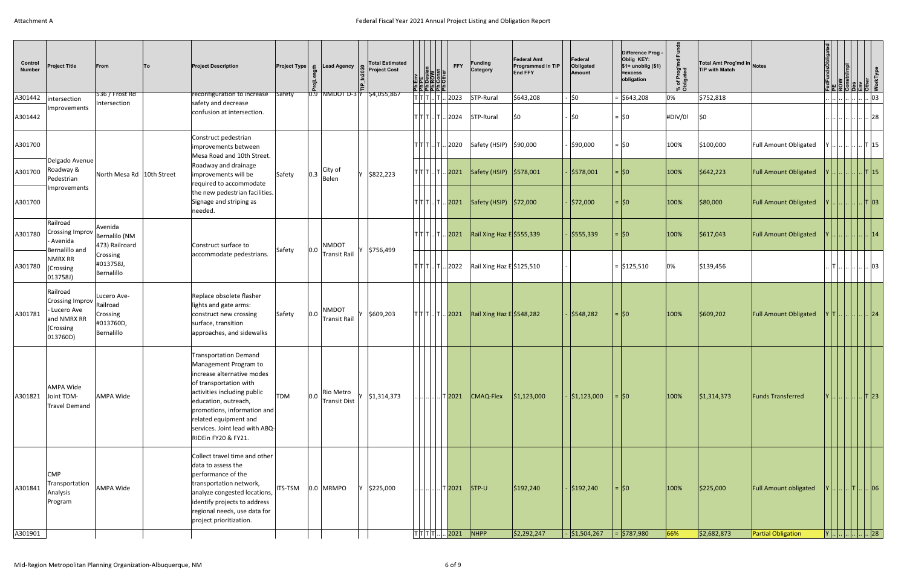| Control<br><b>Number</b> | <b>Project Title</b>                                                                       | From<br><b>To</b>                                  | <b>Project Description</b>                                                                                                                                                                                                                                                            |            |     | <b>Project Type</b> $\boldsymbol{\epsilon}$ <b>Lead Agency</b> | <b>Total Estimated</b><br><b>Project Cost</b> | <b>Ph Env</b><br>Ph PE<br>Ph Dosien<br>Ph Const<br>Ph Other | <b>FFY</b>                     | <b>Funding</b><br>Category  | <b>Federal Amt</b><br>Programmed in TIP<br><b>End FFY</b> | Federal<br>Obligated<br>Amount | Difference Prog -<br>Oblig KEY:<br>$$1=$ unoblig $($1)$<br>=excess<br>obligation | % of Prog'm<br>Obligated | Total Amt Prog'md in Notes<br><b>TIP with Match</b> |                                                           | dFundsObligated          | ᄘ<br>$ 3 $ a $ 5 $                                                                  |          |    |
|--------------------------|--------------------------------------------------------------------------------------------|----------------------------------------------------|---------------------------------------------------------------------------------------------------------------------------------------------------------------------------------------------------------------------------------------------------------------------------------------|------------|-----|----------------------------------------------------------------|-----------------------------------------------|-------------------------------------------------------------|--------------------------------|-----------------------------|-----------------------------------------------------------|--------------------------------|----------------------------------------------------------------------------------|--------------------------|-----------------------------------------------------|-----------------------------------------------------------|--------------------------|-------------------------------------------------------------------------------------|----------|----|
| A301442                  | intersection                                                                               | $536 /$ Frost Rd                                   | reconfiguration to increase Safety                                                                                                                                                                                                                                                    |            |     | $ \overline{0.9} $ NMDOT D-3 $ \overline{Y} $ \$4,055,867      |                                               |                                                             | T T T  T  2023                 | STP-Rural                   | \$643,208                                                 | lso                            | $=$ \$643,208                                                                    | 0%                       | \$752,818                                           |                                                           |                          |                                                                                     |          | 03 |
| A301442                  | Improvements                                                                               | Intersection                                       | safety and decrease<br>confusion at intersection.                                                                                                                                                                                                                                     |            |     |                                                                |                                               |                                                             | T T T  T  2024                 | STP-Rural                   | I\$0                                                      | <b>SO</b>                      | $=$ \$0                                                                          | #DIV/0!                  | <b>SO</b>                                           |                                                           |                          |                                                                                     |          | 28 |
| A301700                  |                                                                                            |                                                    | Construct pedestrian<br>improvements between<br>Mesa Road and 10th Street.                                                                                                                                                                                                            |            |     |                                                                |                                               |                                                             | T T T  T  2020                 | Safety (HSIP) \$90,000      |                                                           | -  \$90,000                    | $=$ \$0                                                                          | 100%                     | \$100,000                                           | <b>Full Amount Obligated</b>                              | Y                        |                                                                                     | . . T 15 |    |
| A301700                  | Delgado Avenue<br>Roadway &<br>Pedestrian                                                  | North Mesa Rd   10th Street                        | Roadway and drainage<br>improvements will be<br>required to accommodate                                                                                                                                                                                                               | Safety     | 0.3 | City of<br>Belen                                               | \$822,223                                     |                                                             | T T T  T  <mark> 2021</mark>   | Safety (HSIP) \$578,001     |                                                           | \$578,001                      | $=$ 50                                                                           | 100%                     | \$642,223                                           | <b>Full Amount Obligated</b>                              |                          | $\left  \ldots \right  \ldots \left  \ldots \right $ $\left  \mathsf{T} \right $ 15 |          |    |
| A301700                  | Improvements                                                                               |                                                    | the new pedestrian facilities.<br>Signage and striping as<br>needed.                                                                                                                                                                                                                  |            |     |                                                                |                                               |                                                             | T T T  T  <mark> 2021</mark>   | Safety (HSIP)   \$72,000    |                                                           | \$72,000                       | $=$ $ 50$                                                                        | 100%                     | \$80,000                                            | <b>Full Amount Obligated</b>                              |                          | $\ldots$ $\ldots$ T   03                                                            |          |    |
| A301780                  | Railroad<br>Crossing Improv Bernalilo (NM<br>Avenida                                       | Avenida<br>473) Railroard                          | Construct surface to                                                                                                                                                                                                                                                                  |            |     | <b>NMDOT</b>                                                   |                                               | $ T T T $ $ T $ 2021                                        |                                | Rail Xing Haz $E$ \$555,339 |                                                           | \$555,339                      | $=$ \$0                                                                          | 100%                     | \$617,043                                           | <b>Full Amount Obligated</b>                              |                          |                                                                                     | 14       |    |
| A301780                  | Bernalillo and<br><b>NMRX RR</b><br>(Crossing<br>013758J)                                  | Crossing<br>#013758J,<br>Bernalillo                | accommodate pedestrians.                                                                                                                                                                                                                                                              | Safety     | 0.0 | Transit Rail                                                   | \$756,499                                     |                                                             | [T T  T  2022]                 | Rail Xing Haz E \$125,510   |                                                           |                                | $=$ \$125,510                                                                    | 0%                       | \$139,456                                           |                                                           | T            03          |                                                                                     |          |    |
| A301781                  | Railroad<br>Crossing Improv Railroad<br>Lucero Ave<br>and NMRX RR<br>(Crossing<br>013760D) | Lucero Ave-<br>Crossing<br>#013760D,<br>Bernalillo | Replace obsolete flasher<br>lights and gate arms:<br>construct new crossing<br>surface, transition<br>approaches, and sidewalks                                                                                                                                                       | Safety     | 0.0 | <b>NMDOT</b><br><b>Transit Rail</b>                            | \$609,203                                     | $ T T T $ $ T $ 2021                                        |                                | Rail Xing Haz $E$ \$548,282 |                                                           | \$548,282                      | =  \$0                                                                           | 100%                     | \$609,202                                           | <b>Full Amount Obligated</b>                              | Y  T            24       |                                                                                     |          |    |
| A301821                  | AMPA Wide<br>Joint TDM-<br><b>Travel Demand</b>                                            | <b>AMPA Wide</b>                                   | <b>Transportation Demand</b><br>Management Program to<br>increase alternative modes<br>of transportation with<br>activities including public<br>education, outreach,<br>promotions, information and<br>related equipment and<br>services. Joint lead with ABQ-<br>RIDEin FY20 & FY21. | <b>TDM</b> | 0.0 | Rio Metro<br><b>Transit Dist</b>                               | \$1,314,373                                   |                                                             | T  <mark>2021</mark>           | CMAQ-Flex                   | \$1,123,000                                               | \$1,123,000                    | $=$ $ 50 $                                                                       | 100%                     | \$1,314,373                                         | <b>Funds Transferred</b>                                  | $ Y $ $  $ $   $ T $ 23$ |                                                                                     |          |    |
| A301841<br>A301901       | <b>CMP</b><br>Transportation<br>Analysis<br>Program                                        | <b>AMPA Wide</b>                                   | Collect travel time and other<br>data to assess the<br>performance of the<br>transportation network,<br>analyze congested locations,<br>identify projects to address<br>regional needs, use data for<br>project prioritization.                                                       | ITS-TSM    |     | 0.0 MRMPO                                                      | \$225,000                                     |                                                             | T2021<br>$ T T T T $ 2021 NHPP | $ $ STP-U                   | \$192,240<br> \$2,292,247                                 | \$192,240<br> \$1,504,267      | $=$ $ 50 $<br>$=$ \$787,980                                                      | 100%<br>66%              | \$225,000<br>\$2,682,873                            | <b>Full Amount obligated</b><br><b>Partial Obligation</b> | $ Y $ $      $ 28        | $\left  \ldots \right $ $\left  \mathsf{T} \right $ $\left  \mathsf{06} \right $    |          |    |
|                          |                                                                                            |                                                    |                                                                                                                                                                                                                                                                                       |            |     |                                                                |                                               |                                                             |                                |                             |                                                           |                                |                                                                                  |                          |                                                     |                                                           |                          |                                                                                     |          |    |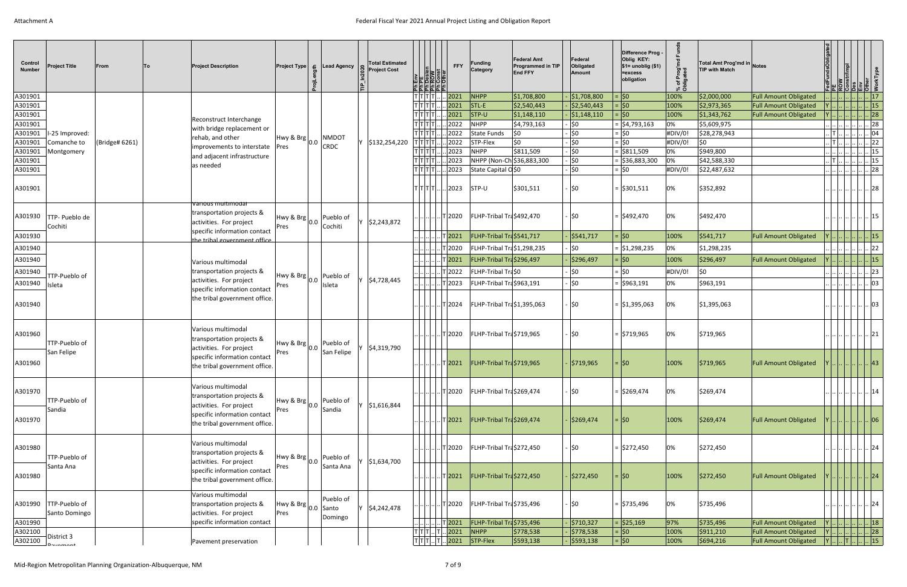| Control<br><b>Number</b> | <b>Project Title</b>                     | From           | lTo. | <b>Project Description</b>                                                 |                                    | <b>Project Type</b> $\boldsymbol{\epsilon}$ Lead Agency | <b>Total Estimated</b><br><b>Project Cost</b> | 일잉회침대로   | <b>FFY</b><br>$\frac{2}{3}$ $\frac{1}{2}$ | Funding<br>Category        | <b>Federal Amt</b><br><b>Programmed in TIP</b><br><b>End FFY</b> | Federal<br>Obligated<br>Amount | Difference Prog -<br>Oblig KEY:<br>$$1=$ unoblig $($1)$<br>=excess<br>obligation | Prog'md<br>aated<br>৳<br>్టీ రే | Total Amt Prog'md in Notes<br><b>TIP with Match</b> |                              |                                                                                                                                                                                                            | $\frac{1}{2}$        |
|--------------------------|------------------------------------------|----------------|------|----------------------------------------------------------------------------|------------------------------------|---------------------------------------------------------|-----------------------------------------------|----------|-------------------------------------------|----------------------------|------------------------------------------------------------------|--------------------------------|----------------------------------------------------------------------------------|---------------------------------|-----------------------------------------------------|------------------------------|------------------------------------------------------------------------------------------------------------------------------------------------------------------------------------------------------------|----------------------|
| A301901                  |                                          |                |      |                                                                            |                                    |                                                         |                                               | T T T T  | 2021                                      | NHPP                       | \$1,708,800                                                      | \$1,708,800                    | $=$ \$0                                                                          | 100%                            | \$2,000,000                                         | Full Amount Obligated        |                                                                                                                                                                                                            | $\vert$ $\vert$ 17   |
| A301901                  |                                          |                |      |                                                                            |                                    |                                                         |                                               | T[T T T] | 2021                                      | $STL-E$                    | \$2,540,443                                                      | \$2,540,443                    | $=$ \$0                                                                          | 100%                            | \$2,973,365                                         | <b>Full Amount Obligated</b> | $\lfloor . \rfloor \rfloor$ [15                                                                                                                                                                            |                      |
| A301901                  |                                          |                |      | Reconstruct Interchange                                                    |                                    |                                                         |                                               |          | 2021                                      | $STP-U$                    | \$1,148,110                                                      | $ \$1,148,110$                 | $=$ \$0                                                                          | 100%                            | \$1,343,762                                         | <b>Full Amount Obligated</b> | .        28                                                                                                                                                                                                |                      |
| A301901                  |                                          |                |      | with bridge replacement or                                                 |                                    |                                                         |                                               |          | .2022                                     | <b>NHPP</b>                | \$4,793,163                                                      | \$0                            | $=$ \$4,793,163                                                                  | 0%                              | \$5,609,975                                         |                              | <u>alalalaja</u>                                                                                                                                                                                           | $\lvert . \rvert$ 28 |
| A301901                  | I-25 Improved:                           |                |      | rehab, and other                                                           | $ Hwy \& Brg _{0.0} ^{p}$          | <b>NMDOT</b>                                            |                                               |          | 2022                                      | State Funds                | 50                                                               | $\frac{1}{2}0$                 | $=$ \$0                                                                          | #DIV/0!                         | \$28,278,943                                        |                              | $\left\lfloor \right\rfloor$ $\left\lfloor \right\rfloor$ $\left\lfloor \right\rfloor$ $\left\lfloor \right\rfloor$ $\left\lfloor \right\rfloor$ 04                                                        |                      |
| A301901                  | Comanche to                              | (Bridge# 6261) |      | improvements to interstate                                                 | Pres                               | CRDC                                                    | \$132,254,220                                 | ד ד דן ד | 2022                                      | STP-Flex                   | \$0                                                              | 50                             | $=$ \$0                                                                          | #DIV/0!                         | \$0                                                 |                              | $\frac{1}{2}$ . $\frac{1}{2}$ . $\frac{1}{2}$ . $\frac{1}{2}$ . $\frac{1}{2}$ . $\frac{1}{2}$                                                                                                              |                      |
| A301901                  | Montgomery                               |                |      | and adjacent infrastructure                                                |                                    |                                                         |                                               |          | 2023                                      | <b>NHPP</b>                | \$811,509                                                        | ∫\$0                           | $=$ \$811,509                                                                    | 0%                              | \$949,800                                           |                              | $\frac{1}{2}$                                                                                                                                                                                              |                      |
| A301901                  |                                          |                |      | as needed                                                                  |                                    |                                                         |                                               |          | $\lceil 2023 \rceil$                      |                            | NHPP (Non-Ch \$36,883,300                                        | 50                             | $=$ \$36,883,300                                                                 | 0%                              | \$42,588,330                                        |                              | $\left\lfloor \right\rfloor$ $\left\lfloor \right\rfloor$ $\left\lfloor \right\rfloor$ $\left\lfloor \right\rfloor$ $\left\lfloor \right\rfloor$ $\left\lfloor \right\rfloor$ $\left\lfloor \right\rfloor$ |                      |
| A301901                  |                                          |                |      |                                                                            |                                    |                                                         |                                               |          | T T T T   2023                            | State Capital O\$0         |                                                                  | \$0                            | $=$ \$0                                                                          | #DIV/0!                         | \$22,487,632                                        |                              |                                                                                                                                                                                                            | .  28                |
| A301901                  |                                          |                |      |                                                                            |                                    |                                                         |                                               |          | T T T   2023                              | STP-U                      | \$301,511                                                        | ି \$0                          | $=$ \$301,511                                                                    | 0%                              | \$352,892                                           |                              |                                                                                                                                                                                                            | 28                   |
| A301930                  | TTP- Pueblo de<br>Cochiti                |                |      | Various multimodal<br>transportation projects &<br>activities. For project | Hwy & Brg $ _{0.0}$  r<br>Pres     | Pueblo of<br>Cochiti                                    | \$2,243,872                                   |          | T 2020                                    | FLHP-Tribal Tra\$492,470   |                                                                  | ∣\$0                           | $=$ \$492,470                                                                    | 0%                              | \$492,470                                           |                              |                                                                                                                                                                                                            | 15                   |
| A301930                  |                                          |                |      | specific information contact                                               |                                    |                                                         |                                               |          | $\vert$ T 2021                            | FLHP-Tribal Tra\$541,717   |                                                                  | \$541,717                      | $=$ \$0                                                                          | 100%                            | \$541,717                                           | <b>Full Amount Obligated</b> |                                                                                                                                                                                                            | $\vert . \vert$ 15   |
| A301940                  |                                          |                |      | the tribal government office                                               |                                    |                                                         |                                               |          | $T$ 2020                                  | FLHP-Tribal Tra\$1,298,235 |                                                                  | ∣\$0                           | $=$ \$1,298,235                                                                  | 0%                              | \$1,298,235                                         |                              |                                                                                                                                                                                                            | 22                   |
|                          |                                          |                |      |                                                                            |                                    |                                                         |                                               |          |                                           |                            |                                                                  |                                |                                                                                  | 100%                            |                                                     |                              |                                                                                                                                                                                                            |                      |
| A301940                  |                                          |                |      | Various multimodal                                                         |                                    |                                                         |                                               |          | $T$ 2021                                  | FLHP-Tribal Tra\$296,497   |                                                                  | \$296,497                      | $=$ \$0                                                                          |                                 | \$296,497                                           | <b>Full Amount Obligated</b> |                                                                                                                                                                                                            | .  15                |
| A301940                  | TTP-Pueblo of                            |                |      | transportation projects &                                                  | Hwy & Brg $ _{0.0}$   <sup>r</sup> | Pueblo of                                               |                                               |          | T2022                                     | FLHP-Tribal Tra\$0         |                                                                  | \$0                            | $=$ \$0                                                                          | #DIV/0!                         | \$0                                                 |                              |                                                                                                                                                                                                            | 23                   |
| A301940                  | Isleta                                   |                |      | activities. For project                                                    | Pres                               | Isleta                                                  | \$4,728,445                                   |          | . T 2023                                  | FLHP-Tribal Tra \$963,191  |                                                                  | 50                             | $=$ \$963,191                                                                    | 0%                              | \$963,191                                           |                              |                                                                                                                                                                                                            | 03                   |
| A301940                  |                                          |                |      | specific information contact<br>the tribal government office.              |                                    |                                                         |                                               |          | . T 2024                                  | FLHP-Tribal Tra\$1,395,063 |                                                                  | <b>SO</b>                      | $=$ \$1,395,063                                                                  | 0%                              | \$1,395,063                                         |                              |                                                                                                                                                                                                            | 03                   |
| A301960                  | TTP-Pueblo of                            |                |      | Various multimodal<br>transportation projects &<br>activities. For project | Hwy & Brg $ _{0.0}$   $\sim$       | Pueblo of                                               | \$4,319,790                                   |          | . T 2020                                  | FLHP-Tribal Tra\$719,965   |                                                                  | <b>SO</b>                      | $=$ \$719,965                                                                    | 0%                              | \$719,965                                           |                              |                                                                                                                                                                                                            | 21                   |
| A301960                  | San Felipe                               |                |      | specific information contact<br>the tribal government office.              | Pres                               | San Felipe                                              |                                               |          | . T 2021                                  | FLHP-Tribal Tra\$719,965   |                                                                  | \$719,965                      | $=$ $ 50$                                                                        | 100%                            | \$719,965                                           | Full Amount Obligated        |                                                                                                                                                                                                            | 43                   |
| A301970                  | TTP-Pueblo of                            |                |      | Various multimodal<br>transportation projects &<br>activities. For project | Hwy & Brg $ _{0.0}$  r             | Pueblo of                                               | \$1,616,844                                   |          | . T 2020                                  | FLHP-Tribal Tra\$269,474   |                                                                  | ୍∣\$0                          | $=$ \$269,474                                                                    | 0%                              | \$269,474                                           |                              |                                                                                                                                                                                                            | 14                   |
| A301970                  | Sandia                                   |                |      | specific information contact<br>the tribal government office.              | Pres                               | Sandia                                                  |                                               |          | $T$  2021                                 | FLHP-Tribal Tra\$269,474   |                                                                  | \$269,474                      | =  \$0                                                                           | 100%                            | \$269,474                                           | <b>Full Amount Obligated</b> |                                                                                                                                                                                                            | .  06                |
| A301980                  | TTP-Pueblo of                            |                |      | Various multimodal<br>transportation projects &<br>activities. For project | Hwy & Brg $ _{0.0}$  '             | Pueblo of                                               | \$1,634,700                                   |          | T2020                                     | FLHP-Tribal Tra\$272,450   |                                                                  | $\frac{1}{2}0$                 | $=$ \$272,450                                                                    | 0%                              | \$272,450                                           |                              |                                                                                                                                                                                                            | 24                   |
| A301980                  | Santa Ana                                |                |      | specific information contact<br>the tribal government office.              | Pres                               | Santa Ana                                               |                                               |          | $\sqrt{7}$ 2021                           | FLHP-Tribal Tra\$272,450   |                                                                  | \$272,450                      | =  \$0                                                                           | 100%                            | \$272,450                                           | <b>Full Amount Obligated</b> | $\left  \ldots \right  \ldots \left  \ldots \right  \ldots   24$                                                                                                                                           |                      |
|                          | A301990   TTP-Pueblo of<br>Santo Domingo |                |      | Various multimodal<br>transportation projects &<br>activities. For project | Hwy & Brg $ _{0.0}$ Santo<br>Pres  | Pueblo of<br>Domingo                                    | \$4,242,478                                   |          | .T2020                                    | FLHP-Tribal Tra\$735,496   |                                                                  | ୍∣\$0                          | $=$ \$735,496                                                                    | 0%                              | \$735,496                                           |                              |                                                                                                                                                                                                            | 24                   |
| A301990                  |                                          |                |      | specific information contact                                               |                                    |                                                         |                                               |          | $\sqrt{7}$ 2021                           | FLHP-Tribal Tra\$735,496   |                                                                  | \$710,327                      | $=$ \$25,169                                                                     | 97%                             | \$735,496                                           | Full Amount Obligated        | $ {\mathsf Y}      $ 18                                                                                                                                                                                    |                      |
| A302100                  | District 3                               |                |      |                                                                            |                                    |                                                         |                                               |          | $ T T T $ $ T $ 2021                      | NHPP                       | \$778,538                                                        | \$778,538                      | $=$ $ 50 $                                                                       | 100%                            | \$911,210                                           | Full Amount Obligated        | $\vert$ Y $\vert$ $\vert$ $\vert$ $\vert$ $\vert$ $\vert$ 28                                                                                                                                               |                      |
| A302100                  | l <sub>numant</sub>                      |                |      | Pavement preservation                                                      |                                    |                                                         |                                               |          | $ T T T $ $ T $ 2021 STP-Flex             |                            | \$593,138                                                        | $\frac{1}{5593,138}$           | $=$ $50$                                                                         | 100%                            | \$694,216                                           | Full Amount Obligated        | $\boxed{\mathsf{Y} \dots \dots \mathsf{T} \dots \dots \mathsf{15}}$                                                                                                                                        |                      |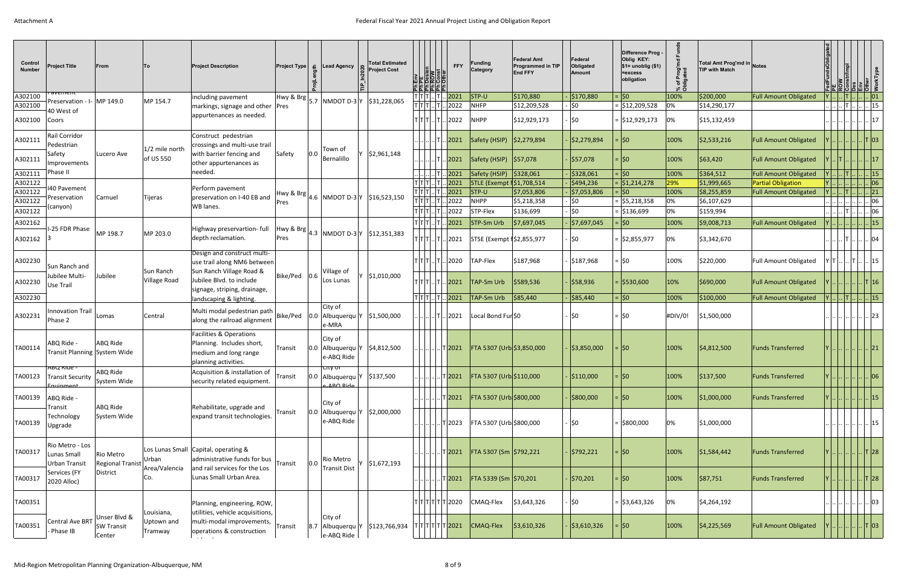| Control<br><b>Number</b> | <b>Project Title</b>                                      | From                                                |                           | <b>Project Description</b>                                                                                       | <b>Project Type</b><br>- 윤 | Lead Agency                                                                    | <b>Total Estimated</b><br><b>Project Cost</b> | 일잉침립曲급<br>리뢰코]로                                                   | <b>FFY</b>                                                      | <b>Funding</b><br>Category                     | <b>Federal Amt</b><br><b>Programmed in TIP</b><br><b>End FFY</b> | Federal<br>Obligated<br>Amount        | Difference Prog -<br>Oblig KEY:<br>$$1=$ unoblig $($1)$<br>=excess<br>obligation | of Prog <sup>'m</sup><br>انص <del>داو</del><br>్న రె | Total Amt Prog'md in Notes<br><b>TIP with Match</b> |                              |     |                                                                                              |                              |
|--------------------------|-----------------------------------------------------------|-----------------------------------------------------|---------------------------|------------------------------------------------------------------------------------------------------------------|----------------------------|--------------------------------------------------------------------------------|-----------------------------------------------|-------------------------------------------------------------------|-----------------------------------------------------------------|------------------------------------------------|------------------------------------------------------------------|---------------------------------------|----------------------------------------------------------------------------------|------------------------------------------------------|-----------------------------------------------------|------------------------------|-----|----------------------------------------------------------------------------------------------|------------------------------|
| A302100                  | <u>avement</u><br>Preservation - I- MP 149.0              |                                                     | MP 154.7                  | including pavement                                                                                               |                            | $\frac{1}{2}$ Hwy & Brg $\frac{1}{5.7}$ NMDOT D-3 Y $\frac{1}{3}$ \$31,228,065 |                                               | T T T                                                             | 2021                                                            | $ $ STP-U                                      | \$170,880                                                        | \$170,880                             | : ∣\$0                                                                           | 100%                                                 | \$200,000                                           | <b>Full Amount Obligated</b> |     |                                                                                              | .  01                        |
| A302100                  | 40 West of                                                |                                                     |                           | markings, signage and other Pres                                                                                 |                            |                                                                                |                                               | $\frac{1}{\mathsf{I} \mathsf{I} \mathsf{I} }$                     | 2022                                                            | <b>NHFP</b>                                    | \$12,209,528                                                     | \$0                                   | $=$ \$12,209,528                                                                 | 0%                                                   | \$14,290,177                                        |                              |     | .  T                                                                                         | $\, . \,  15 \>$             |
| A302100                  | Coors                                                     |                                                     |                           | appurtenances as needed.                                                                                         |                            |                                                                                |                                               | TITITI T                                                          | .2022                                                           | <b>NHPP</b>                                    | \$12,929,173                                                     | <b>SO</b>                             | = \$12,929,173                                                                   | 0%                                                   | \$15,132,459                                        |                              |     |                                                                                              | 17                           |
| A302111                  | Rail Corridor<br>Pedestrian                               |                                                     | 1/2 mile north            | Construct pedestrian<br>crossings and multi-use trail                                                            |                            | Town of                                                                        |                                               |                                                                   | 2021                                                            | Safety (HSIP)   \$2,279,894                    |                                                                  | \$2,279,894                           | =  \$0                                                                           | 100%                                                 | \$2,533,216                                         | <b>Full Amount Obligated</b> |     |                                                                                              | .  T  03                     |
| A302111                  | Safety<br>Improvements                                    | Lucero Ave                                          | of US 550                 | with barrier fencing and<br>other appurtenances as                                                               | Safety<br>0.0              | Bernalillo                                                                     | \$2,961,148                                   |                                                                   | 2021                                                            | Safety (HSIP)   \$57,078                       |                                                                  | \$57,078                              | $=$ 50                                                                           | 100%                                                 | \$63,420                                            | <b>Full Amount Obligated</b> |     |                                                                                              | 17                           |
| A302111                  | Phase II                                                  |                                                     |                           | needed.                                                                                                          |                            |                                                                                |                                               |                                                                   | 2021                                                            | Safety (HSIP)   \$328,061                      |                                                                  | \$328,061                             | 80: ا                                                                            | 100%                                                 | \$364,512                                           | <b>Full Amount Obligated</b> |     |                                                                                              | .  15                        |
| A302122<br>A302122       | <b>I40 Pavement</b>                                       |                                                     |                           | Perform pavement                                                                                                 |                            |                                                                                |                                               | T T T<br>$T$ $T$ $T$                                              | 2021<br>2021                                                    | STLE (Exempt f\$1,708,514<br>$ $ STP-U         | \$7,053,806                                                      | \$494,236<br>$\frac{1}{2}$ 57,053,806 | = \$1,214,278<br>0\$∣ =                                                          | 29%<br>100%                                          | \$1,999,665<br>\$8,255,859                          | <b>Partial Obligation</b>    |     | . IT I                                                                                       | $\vert . \vert$ 06           |
| A302122                  | Preservation                                              | Carnuel                                             | <b>Tijeras</b>            | preservation on I-40 EB and                                                                                      |                            | $ $ <sup>Hwy &amp; Brg</sup> $ 4.6 $ NMDOT D-3 $ v $ \$16,523,150              |                                               | $\overline{\mathsf{T}}\overline{\mathsf{T}}\overline{\mathsf{T}}$ | 2022                                                            | <b>NHPP</b>                                    | \$5,218,358                                                      | \$0                                   | $=$ \$5,218,358                                                                  | 0%                                                   | \$6,107,629                                         | <b>Full Amount Obligated</b> |     |                                                                                              | . 21<br>06                   |
| A302122                  | (canyon)                                                  |                                                     |                           | WB lanes.                                                                                                        | <b>Pres</b>                |                                                                                |                                               | тітіт                                                             | 2022                                                            | STP-Flex                                       | \$136,699                                                        | 50                                    | $=$ \$136,699                                                                    | 0%                                                   | \$159,994                                           |                              |     |                                                                                              |                              |
|                          |                                                           |                                                     |                           |                                                                                                                  |                            |                                                                                |                                               |                                                                   |                                                                 |                                                |                                                                  |                                       |                                                                                  |                                                      |                                                     |                              |     |                                                                                              | $\sim$ 06                    |
| A302162<br>A302162       | I-25 FDR Phase                                            | MP 198.7                                            | MP 203.0                  | Highway preservartion- full<br>depth reclamation.                                                                | Pres                       | $ \text{Hwy & Brg} _{4.3}$ NMDOT D-3 $ V $ \$12,351,383                        |                                               | $ T T T $ .<br>TITITIITI                                          | 2021<br>. 2021                                                  | <b>STP-Sm Urb</b><br>STSE (Exempt 1\$2,855,977 | \$7,697,045                                                      | \$7,697,045<br>· I\$0                 | 0\$∣ =<br>$=$ \$2,855,977                                                        | 100%<br>0%                                           | \$9,008,713<br>\$3,342,670                          | <b>Full Amount Obligated</b> |     |                                                                                              | $\lfloor . \rfloor$ 15<br>04 |
| A302230                  |                                                           |                                                     |                           | Design and construct multi-<br>use trail along NM6 between                                                       |                            |                                                                                |                                               | TITITITI.                                                         | . 2020                                                          | <b>TAP-Flex</b>                                | \$187,968                                                        | \$187,968                             | $=$ \$0                                                                          | 100%                                                 | \$220,000                                           | <b>Full Amount Obligated</b> | YT. | . T  . 15                                                                                    |                              |
| A302230                  | Sun Ranch and<br>Jubilee Multi-<br><b>Use Trail</b>       | Jubilee                                             | Sun Ranch<br>Village Road | Sun Ranch Village Road &<br>Jubilee Blvd. to include                                                             | Bike/Ped 0.6               | Village of<br>Los Lunas                                                        | \$1,010,000                                   | TITITIITI                                                         | 2021                                                            | <b>TAP-Sm Urb</b>                              | \$589,536                                                        | \$58,936                              |                                                                                  | 10%                                                  | \$690,000                                           | <b>Full Amount Obligated</b> |     |                                                                                              | .  T   16                    |
| A302230                  |                                                           |                                                     |                           | signage, striping, drainage,<br>landscaping & lighting.                                                          |                            |                                                                                |                                               | $ T T T $ $ T $                                                   | 2021                                                            | TAP-Sm Urb                                     | \$85,440                                                         | \$85,440                              | $=$ \$0                                                                          | 100%                                                 | \$100,000                                           | <b>Full Amount Obligated</b> |     | $1$ $\ldots$ $\mid$ $\ldots$ $\mid$ $\ldots$ $\mid$ $\ldots$ $\mid$ $\ldots$ $\mid$ $\vdots$ |                              |
| A302231                  | Innovation Trail<br>Phase 2                               | Lomas                                               | Central                   | Multi modal pedestrian path<br>along the railroad alignment                                                      |                            | City of<br>Bike/Ped   0.0   Albuquerqu   Y<br>e-MRA                            | \$1,500,000                                   |                                                                   | . 2021                                                          | Local Bond Fur \$0                             |                                                                  | ∣\$0                                  | $=$ 50                                                                           | #DIV/0!                                              | \$1,500,000                                         |                              |     |                                                                                              | 23                           |
| TA00114                  | ABQ Ride -<br>Transit Planning System Wide                | ABQ Ride                                            |                           | <b>Facilities &amp; Operations</b><br>Planning. Includes short,<br>medium and long range<br>planning activities. | Transit                    | City of<br>0.0 Albuquerqu Y<br>e-ABQ Ride                                      | \$4,812,500                                   |                                                                   | . T2021                                                         | FTA 5307 (Urb \$3,850,000                      |                                                                  | \$3,850,000                           | = ISO                                                                            | 100%                                                 | \$4,812,500                                         | <b>Funds Transferred</b>     |     | $\left  \dots \right  \dots \left  \dots \right $ 21                                         |                              |
|                          | ABQ Ride -<br>TA00123   Transit Security<br>-<br>Muinmant | ABQ Ride<br>System Wide                             |                           | Acquisition & installation of<br>security related equipment.                                                     | Transit                    | <b>City of</b><br>$ 0.0 $ Albuquerqu Y $ 3137,500 $<br>o-∆R∩ Rid               |                                               |                                                                   | $\vert$ T $\vert$ 2021                                          | FTA 5307 (Urb \$110,000                        |                                                                  | \$110,000                             | =  \$0                                                                           | 100%                                                 | \$137,500                                           | <b>Funds Transferred</b>     |     | $ Y       $ 06                                                                               |                              |
| TA00139                  | ABQ Ride -<br>Transit                                     | ABQ Ride                                            |                           | Rehabilitate, upgrade and                                                                                        |                            | City of                                                                        |                                               |                                                                   | $\sqrt{7}$ 2021                                                 | FTA 5307 (Urb \$800,000                        |                                                                  | \$800,000                             | $=$ \$0                                                                          | 100%                                                 | \$1,000,000                                         | <b>Funds Transferred</b>     |     |                                                                                              | .  15                        |
| TA00139                  | Technology<br>Upgrade                                     | System Wide                                         |                           | expand transit technologies.                                                                                     | Transit                    | 0.0 Albuquerqu Y<br>e-ABQ Ride                                                 | \$2,000,000                                   |                                                                   | . T2023                                                         | FTA 5307 (Urb \$800,000                        |                                                                  | . ∣\$0                                | $=$ \$800,000                                                                    | 0%                                                   | \$1,000,000                                         |                              |     |                                                                                              | . 15                         |
| TA00317                  | Rio Metro - Los<br>Lunas Small<br>Urban Transit           | Rio Metro                                           | Urban                     | Los Lunas Small Capital, operating &<br>administrative funds for bus                                             | 0.0<br>Transit             | Rio Metro                                                                      | Y \$1,672,193                                 |                                                                   | $\lfloor$ T $\rfloor$ 2021                                      | FTA 5307 (Sm \$792,221                         |                                                                  | - \$792,221                           | $=$ \$0                                                                          | 100%                                                 | \$1,584,442                                         | <b>Funds Transferred</b>     |     |                                                                                              |                              |
| TA00317                  | Services (FY<br>2020 Alloc)                               | Regional Tranist   -<br>  Area/Valencia<br>District | Co.                       | and rail services for the Los<br>Lunas Small Urban Area.                                                         |                            | <b>Transit Dist</b>                                                            |                                               |                                                                   | . T 2021                                                        | FTA 5339 (Sm \$70,201                          |                                                                  | $\frac{1}{2}$ \$70,201                | $=$ $ 50$                                                                        | 100%                                                 | \$87,751                                            | <b>Funds Transferred</b>     |     |                                                                                              |                              |
| TA00351                  |                                                           |                                                     | Louisiana,                | Planning, engineering, ROW,<br>utilities, vehicle acquisitions,                                                  |                            |                                                                                |                                               |                                                                   | T T T T T 2020                                                  | CMAQ-Flex                                      | \$3,643,326                                                      | ∣\$0                                  | $=$ \$3,643,326                                                                  | 0%                                                   | \$4,264,192                                         |                              |     |                                                                                              | 03                           |
| TA00351                  | Central Ave BRT<br>- Phase IB                             | Unser Blvd &<br><b>SW Transit</b><br>Center         | Uptown and<br>Tramway     | multi-modal improvements,<br>operations & construction                                                           | Transit                    | City of<br>e-ABQ Ride                                                          | 8.7 Albuquerqu Y \$123,766,934                |                                                                   | $ \mathsf{T} \mathsf{T} \mathsf{T} \mathsf{T} \mathsf{T} 2021 $ | CMAQ-Flex                                      | \$3,610,326                                                      | \$3,610,326                           | $=$ \$0                                                                          | 100%                                                 | \$4,225,569                                         | <b>Full Amount Obligated</b> |     | .        T  03                                                                               |                              |
|                          |                                                           |                                                     |                           |                                                                                                                  |                            |                                                                                |                                               |                                                                   |                                                                 |                                                |                                                                  |                                       |                                                                                  |                                                      |                                                     |                              |     |                                                                                              |                              |